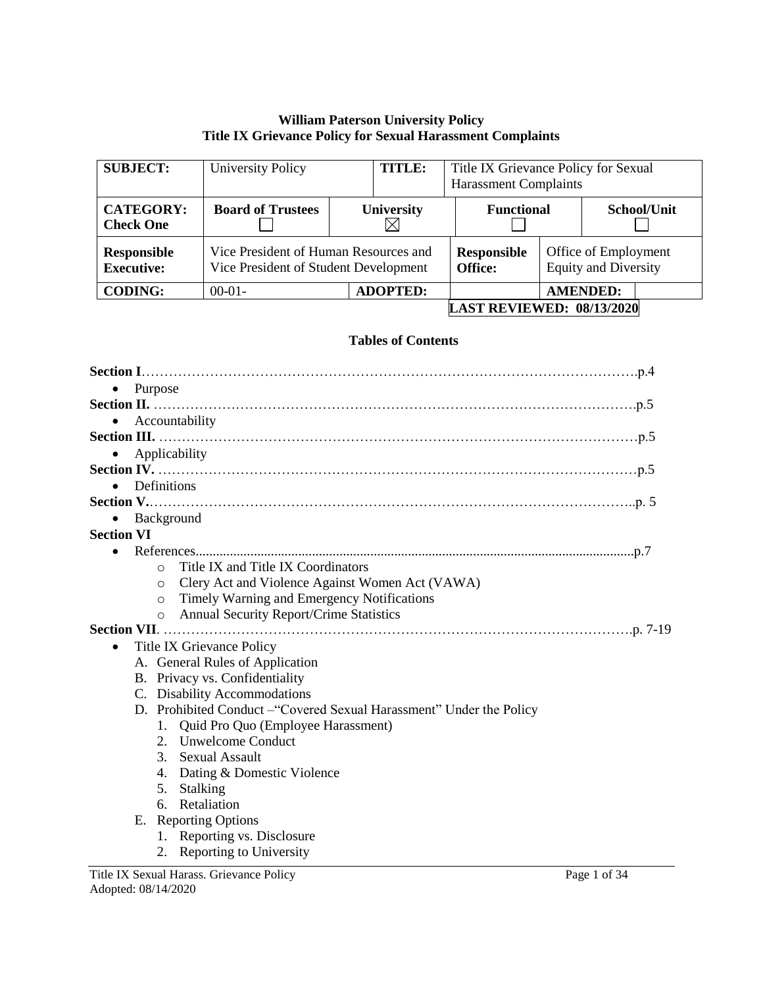### **William Paterson University Policy Title IX Grievance Policy for Sexual Harassment Complaints**

| <b>SUBJECT:</b>                         | <b>University Policy</b>                                                       | <b>TITLE:</b>     | Title IX Grievance Policy for Sexual<br><b>Harassment Complaints</b> |                                                     |                 |
|-----------------------------------------|--------------------------------------------------------------------------------|-------------------|----------------------------------------------------------------------|-----------------------------------------------------|-----------------|
| <b>CATEGORY:</b><br><b>Check One</b>    | <b>Board of Trustees</b>                                                       | <b>University</b> | <b>Functional</b>                                                    |                                                     | School/Unit     |
| <b>Responsible</b><br><b>Executive:</b> | Vice President of Human Resources and<br>Vice President of Student Development |                   | <b>Responsible</b><br>Office:                                        | Office of Employment<br><b>Equity and Diversity</b> |                 |
| <b>CODING:</b>                          | $00-01-$                                                                       | <b>ADOPTED:</b>   |                                                                      |                                                     | <b>AMENDED:</b> |
|                                         | <b>LAST REVIEWED: 08/13/2020</b>                                               |                   |                                                                      |                                                     |                 |

#### **Tables of Contents**

| Purpose<br>$\bullet$                                                 |
|----------------------------------------------------------------------|
|                                                                      |
| Accountability<br>$\bullet$                                          |
|                                                                      |
| Applicability<br>$\bullet$                                           |
|                                                                      |
| Definitions<br>$\bullet$                                             |
|                                                                      |
| Background                                                           |
| <b>Section VI</b>                                                    |
|                                                                      |
| Title IX and Title IX Coordinators<br>$\circ$                        |
| Clery Act and Violence Against Women Act (VAWA)<br>$\circ$           |
| Timely Warning and Emergency Notifications<br>$\circ$                |
| <b>Annual Security Report/Crime Statistics</b><br>$\circ$            |
|                                                                      |
| <b>Title IX Grievance Policy</b><br>$\bullet$                        |
| A. General Rules of Application                                      |
| B. Privacy vs. Confidentiality<br>C. Disability Accommodations       |
| D. Prohibited Conduct - "Covered Sexual Harassment" Under the Policy |
| Quid Pro Quo (Employee Harassment)<br>1.                             |
| 2. Unwelcome Conduct                                                 |
| $3_{-}$<br><b>Sexual Assault</b>                                     |
| Dating & Domestic Violence<br>4.                                     |
| Stalking<br>5.                                                       |
| Retaliation<br>6.                                                    |
| E. Reporting Options                                                 |
| 1. Reporting vs. Disclosure                                          |
| 2. Reporting to University                                           |
|                                                                      |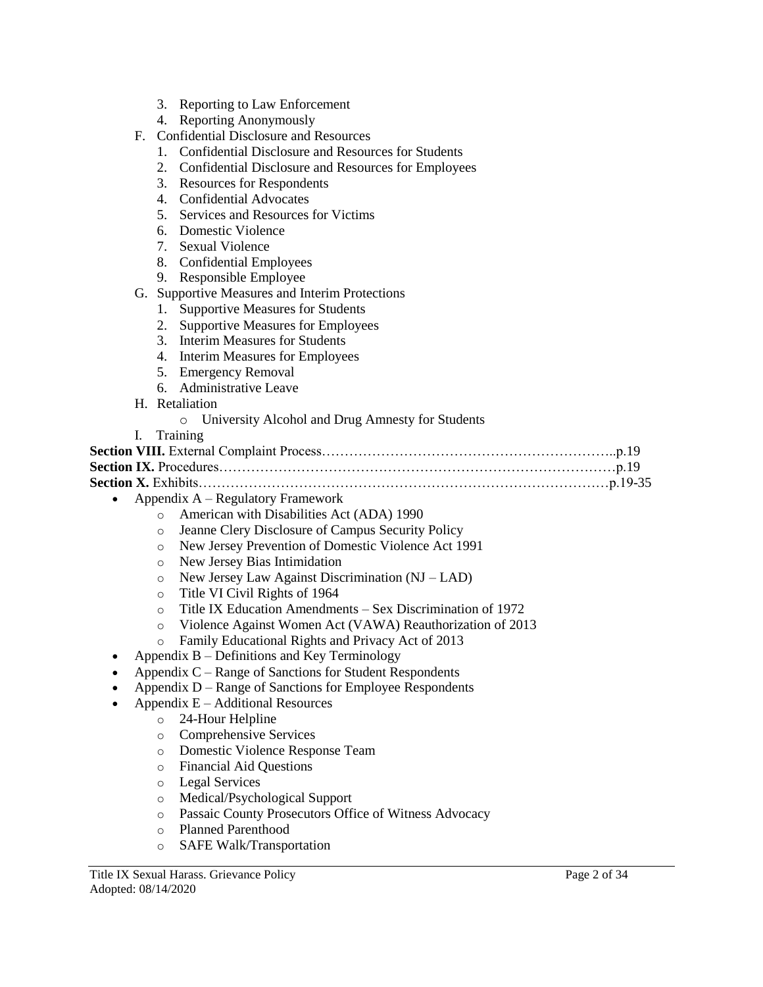- 3. Reporting to Law Enforcement
- 4. Reporting Anonymously
- F. Confidential Disclosure and Resources
	- 1. Confidential Disclosure and Resources for Students
	- 2. Confidential Disclosure and Resources for Employees
	- 3. Resources for Respondents
	- 4. Confidential Advocates
	- 5. Services and Resources for Victims
	- 6. Domestic Violence
	- 7. Sexual Violence
	- 8. Confidential Employees
	- 9. Responsible Employee
- G. Supportive Measures and Interim Protections
	- 1. Supportive Measures for Students
	- 2. Supportive Measures for Employees
	- 3. Interim Measures for Students
	- 4. Interim Measures for Employees
	- 5. Emergency Removal
	- 6. Administrative Leave
- H. Retaliation
	- o University Alcohol and Drug Amnesty for Students
- I. Training

**Section VIII.** External Complaint Process………………………………………………………..p.19 **Section IX.** Procedures……………………………………………………………………………p.19 **Section X.** Exhibits………………………………………………………………………………p.19-35

- Appendix A Regulatory Framework
	- o American with Disabilities Act (ADA) 1990
	- o Jeanne Clery Disclosure of Campus Security Policy
	- o New Jersey Prevention of Domestic Violence Act 1991
	- o New Jersey Bias Intimidation
	- o New Jersey Law Against Discrimination (NJ LAD)
	- o Title VI Civil Rights of 1964
	- o Title IX Education Amendments Sex Discrimination of 1972
	- o Violence Against Women Act (VAWA) Reauthorization of 2013
	- o Family Educational Rights and Privacy Act of 2013
- Appendix  $B -$  Definitions and Key Terminology
- Appendix C Range of Sanctions for Student Respondents
- Appendix D Range of Sanctions for Employee Respondents
- Appendix E Additional Resources
	- o 24-Hour Helpline
	- o Comprehensive Services
	- o Domestic Violence Response Team
	- o Financial Aid Questions
	- o Legal Services
	- o Medical/Psychological Support
	- o Passaic County Prosecutors Office of Witness Advocacy
	- o Planned Parenthood
	- o SAFE Walk/Transportation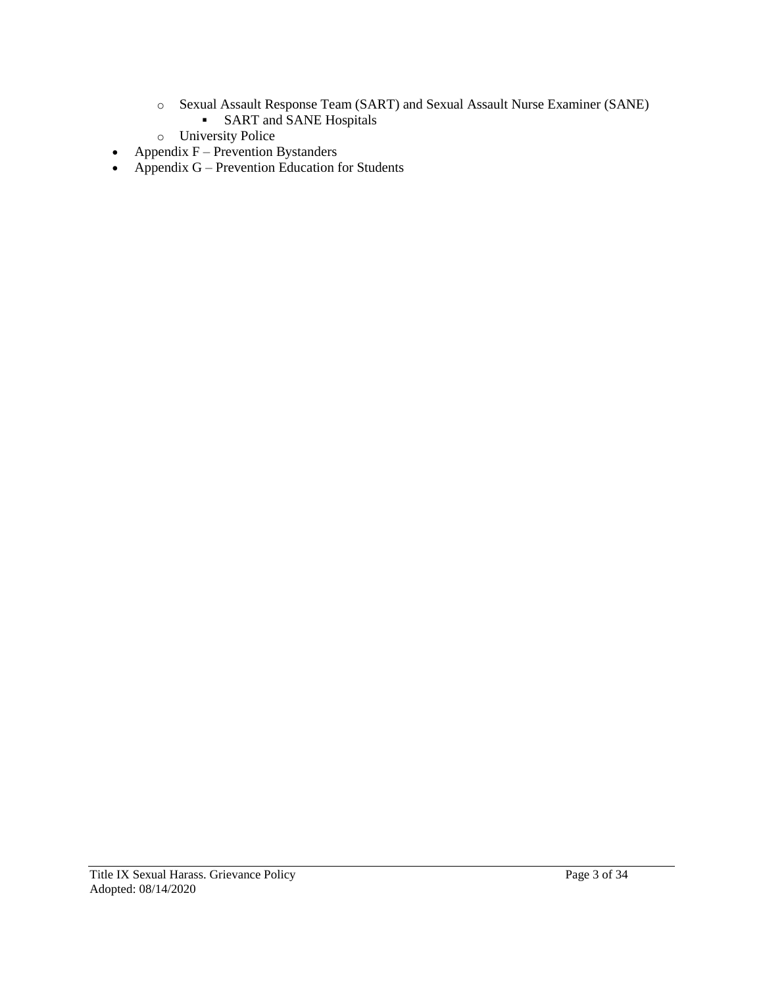- o Sexual Assault Response Team (SART) and Sexual Assault Nurse Examiner (SANE) **SART** and **SANE** Hospitals
- o University Police
- Appendix  $F -$  Prevention Bystanders
- Appendix  $G$  Prevention Education for Students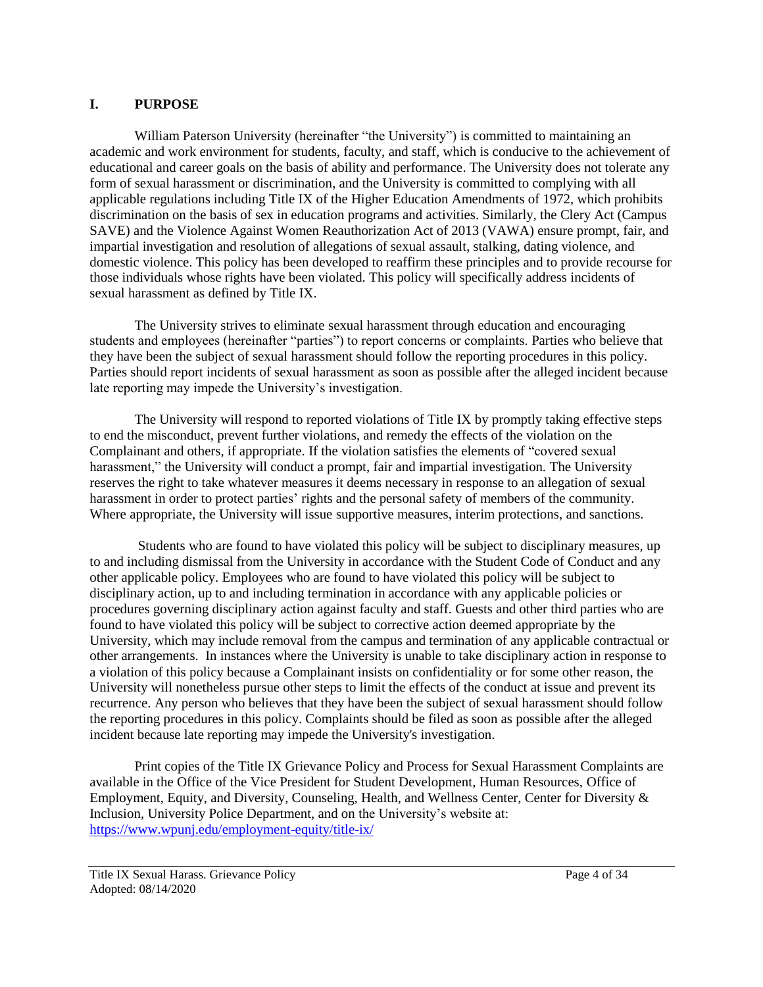### **I. PURPOSE**

William Paterson University (hereinafter "the University") is committed to maintaining an academic and work environment for students, faculty, and staff, which is conducive to the achievement of educational and career goals on the basis of ability and performance. The University does not tolerate any form of sexual harassment or discrimination, and the University is committed to complying with all applicable regulations including Title IX of the Higher Education Amendments of 1972, which prohibits discrimination on the basis of sex in education programs and activities. Similarly, the Clery Act (Campus SAVE) and the Violence Against Women Reauthorization Act of 2013 (VAWA) ensure prompt, fair, and impartial investigation and resolution of allegations of sexual assault, stalking, dating violence, and domestic violence. This policy has been developed to reaffirm these principles and to provide recourse for those individuals whose rights have been violated. This policy will specifically address incidents of sexual harassment as defined by Title IX.

The University strives to eliminate sexual harassment through education and encouraging students and employees (hereinafter "parties") to report concerns or complaints. Parties who believe that they have been the subject of sexual harassment should follow the reporting procedures in this policy. Parties should report incidents of sexual harassment as soon as possible after the alleged incident because late reporting may impede the University's investigation.

The University will respond to reported violations of Title IX by promptly taking effective steps to end the misconduct, prevent further violations, and remedy the effects of the violation on the Complainant and others, if appropriate. If the violation satisfies the elements of "covered sexual harassment," the University will conduct a prompt, fair and impartial investigation. The University reserves the right to take whatever measures it deems necessary in response to an allegation of sexual harassment in order to protect parties' rights and the personal safety of members of the community. Where appropriate, the University will issue supportive measures, interim protections, and sanctions.

Students who are found to have violated this policy will be subject to disciplinary measures, up to and including dismissal from the University in accordance with the Student Code of Conduct and any other applicable policy. Employees who are found to have violated this policy will be subject to disciplinary action, up to and including termination in accordance with any applicable policies or procedures governing disciplinary action against faculty and staff. Guests and other third parties who are found to have violated this policy will be subject to corrective action deemed appropriate by the University, which may include removal from the campus and termination of any applicable contractual or other arrangements. In instances where the University is unable to take disciplinary action in response to a violation of this policy because a Complainant insists on confidentiality or for some other reason, the University will nonetheless pursue other steps to limit the effects of the conduct at issue and prevent its recurrence. Any person who believes that they have been the subject of sexual harassment should follow the reporting procedures in this policy. Complaints should be filed as soon as possible after the alleged incident because late reporting may impede the University's investigation.

Print copies of the Title IX Grievance Policy and Process for Sexual Harassment Complaints are available in the Office of the Vice President for Student Development, Human Resources, Office of Employment, Equity, and Diversity, Counseling, Health, and Wellness Center, Center for Diversity & Inclusion, University Police Department, and on the University's website at: <https://www.wpunj.edu/employment-equity/title-ix/>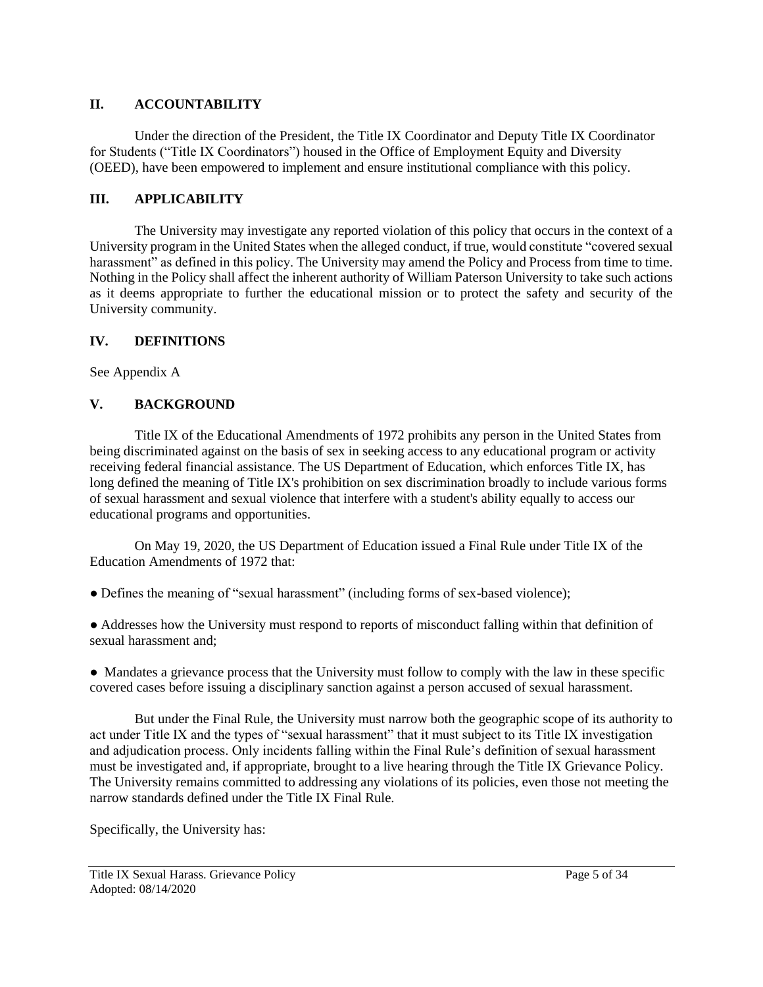# **II. ACCOUNTABILITY**

Under the direction of the President, the Title IX Coordinator and Deputy Title IX Coordinator for Students ("Title IX Coordinators") housed in the Office of Employment Equity and Diversity (OEED), have been empowered to implement and ensure institutional compliance with this policy.

# **III. APPLICABILITY**

The University may investigate any reported violation of this policy that occurs in the context of a University program in the United States when the alleged conduct, if true, would constitute "covered sexual harassment" as defined in this policy. The University may amend the Policy and Process from time to time. Nothing in the Policy shall affect the inherent authority of William Paterson University to take such actions as it deems appropriate to further the educational mission or to protect the safety and security of the University community.

# **IV. DEFINITIONS**

See Appendix A

# **V. BACKGROUND**

Title IX of the Educational Amendments of 1972 prohibits any person in the United States from being discriminated against on the basis of sex in seeking access to any educational program or activity receiving federal financial assistance. The US Department of Education, which enforces Title IX, has long defined the meaning of Title IX's prohibition on sex discrimination broadly to include various forms of sexual harassment and sexual violence that interfere with a student's ability equally to access our educational programs and opportunities.

On May 19, 2020, the US Department of Education issued a Final Rule under Title IX of the Education Amendments of 1972 that:

● Defines the meaning of "sexual harassment" (including forms of sex-based violence);

● Addresses how the University must respond to reports of misconduct falling within that definition of sexual harassment and;

• Mandates a grievance process that the University must follow to comply with the law in these specific covered cases before issuing a disciplinary sanction against a person accused of sexual harassment.

But under the Final Rule, the University must narrow both the geographic scope of its authority to act under Title IX and the types of "sexual harassment" that it must subject to its Title IX investigation and adjudication process. Only incidents falling within the Final Rule's definition of sexual harassment must be investigated and, if appropriate, brought to a live hearing through the Title IX Grievance Policy. The University remains committed to addressing any violations of its policies, even those not meeting the narrow standards defined under the Title IX Final Rule.

Specifically, the University has: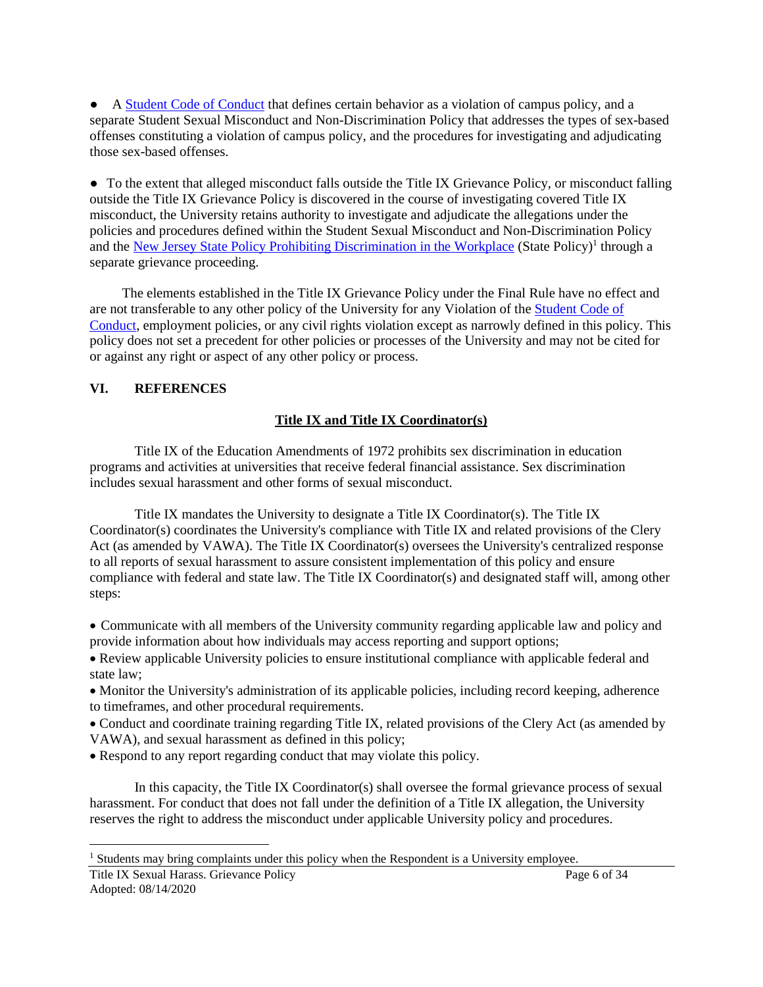● A [Student Code of Conduct](https://www.wpunj.edu/student-conduct/student-handbook/the-student-code-of-conduct.html) that defines certain behavior as a violation of campus policy, and a separate Student Sexual Misconduct and Non-Discrimination Policy that addresses the types of sex-based offenses constituting a violation of campus policy, and the procedures for investigating and adjudicating those sex-based offenses.

• To the extent that alleged misconduct falls outside the Title IX Grievance Policy, or misconduct falling outside the Title IX Grievance Policy is discovered in the course of investigating covered Title IX misconduct, the University retains authority to investigate and adjudicate the allegations under the policies and procedures defined within the Student Sexual Misconduct and Non-Discrimination Policy and the [New Jersey State Policy Prohibiting Discrimination in the Workplace](https://www.wpunj.edu/dotAsset/308677.pdf) (State Policy)<sup>1</sup> through a separate grievance proceeding.

The elements established in the Title IX Grievance Policy under the Final Rule have no effect and are not transferable to any other policy of the University for any Violation of the [Student Code of](https://www.wpunj.edu/student-conduct/student-handbook/the-student-code-of-conduct.html)  [Conduct,](https://www.wpunj.edu/student-conduct/student-handbook/the-student-code-of-conduct.html) employment policies, or any civil rights violation except as narrowly defined in this policy. This policy does not set a precedent for other policies or processes of the University and may not be cited for or against any right or aspect of any other policy or process.

#### **VI. REFERENCES**

#### **Title IX and Title IX Coordinator(s)**

Title IX of the Education Amendments of 1972 prohibits sex discrimination in education programs and activities at universities that receive federal financial assistance. Sex discrimination includes sexual harassment and other forms of sexual misconduct.

Title IX mandates the University to designate a Title IX Coordinator(s). The Title IX Coordinator(s) coordinates the University's compliance with Title IX and related provisions of the Clery Act (as amended by VAWA). The Title IX Coordinator(s) oversees the University's centralized response to all reports of sexual harassment to assure consistent implementation of this policy and ensure compliance with federal and state law. The Title IX Coordinator(s) and designated staff will, among other steps:

 Communicate with all members of the University community regarding applicable law and policy and provide information about how individuals may access reporting and support options;

 Review applicable University policies to ensure institutional compliance with applicable federal and state law;

 Monitor the University's administration of its applicable policies, including record keeping, adherence to timeframes, and other procedural requirements.

 Conduct and coordinate training regarding Title IX, related provisions of the Clery Act (as amended by VAWA), and sexual harassment as defined in this policy;

• Respond to any report regarding conduct that may violate this policy.

In this capacity, the Title IX Coordinator(s) shall oversee the formal grievance process of sexual harassment. For conduct that does not fall under the definition of a Title IX allegation, the University reserves the right to address the misconduct under applicable University policy and procedures.

<sup>&</sup>lt;sup>1</sup> Students may bring complaints under this policy when the Respondent is a University employee.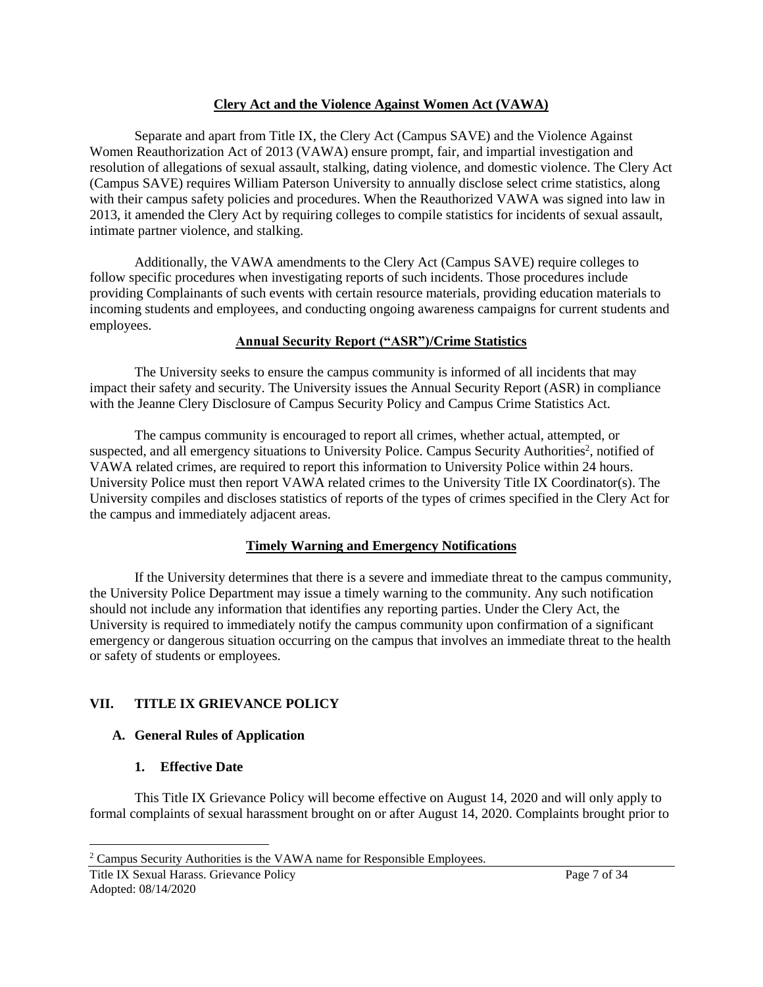### **Clery Act and the Violence Against Women Act (VAWA)**

Separate and apart from Title IX, the Clery Act (Campus SAVE) and the Violence Against Women Reauthorization Act of 2013 (VAWA) ensure prompt, fair, and impartial investigation and resolution of allegations of sexual assault, stalking, dating violence, and domestic violence. The Clery Act (Campus SAVE) requires William Paterson University to annually disclose select crime statistics, along with their campus safety policies and procedures. When the Reauthorized VAWA was signed into law in 2013, it amended the Clery Act by requiring colleges to compile statistics for incidents of sexual assault, intimate partner violence, and stalking.

Additionally, the VAWA amendments to the Clery Act (Campus SAVE) require colleges to follow specific procedures when investigating reports of such incidents. Those procedures include providing Complainants of such events with certain resource materials, providing education materials to incoming students and employees, and conducting ongoing awareness campaigns for current students and employees.

#### **Annual Security Report ("ASR")/Crime Statistics**

The University seeks to ensure the campus community is informed of all incidents that may impact their safety and security. The University issues the Annual Security Report (ASR) in compliance with the Jeanne Clery Disclosure of Campus Security Policy and Campus Crime Statistics Act.

The campus community is encouraged to report all crimes, whether actual, attempted, or suspected, and all emergency situations to University Police. Campus Security Authorities<sup>2</sup>, notified of VAWA related crimes, are required to report this information to University Police within 24 hours. University Police must then report VAWA related crimes to the University Title IX Coordinator(s). The University compiles and discloses statistics of reports of the types of crimes specified in the Clery Act for the campus and immediately adjacent areas.

### **Timely Warning and Emergency Notifications**

If the University determines that there is a severe and immediate threat to the campus community, the University Police Department may issue a timely warning to the community. Any such notification should not include any information that identifies any reporting parties. Under the Clery Act, the University is required to immediately notify the campus community upon confirmation of a significant emergency or dangerous situation occurring on the campus that involves an immediate threat to the health or safety of students or employees.

### **VII. TITLE IX GRIEVANCE POLICY**

### **A. General Rules of Application**

### **1. Effective Date**

This Title IX Grievance Policy will become effective on August 14, 2020 and will only apply to formal complaints of sexual harassment brought on or after August 14, 2020. Complaints brought prior to

<sup>2</sup> Campus Security Authorities is the VAWA name for Responsible Employees.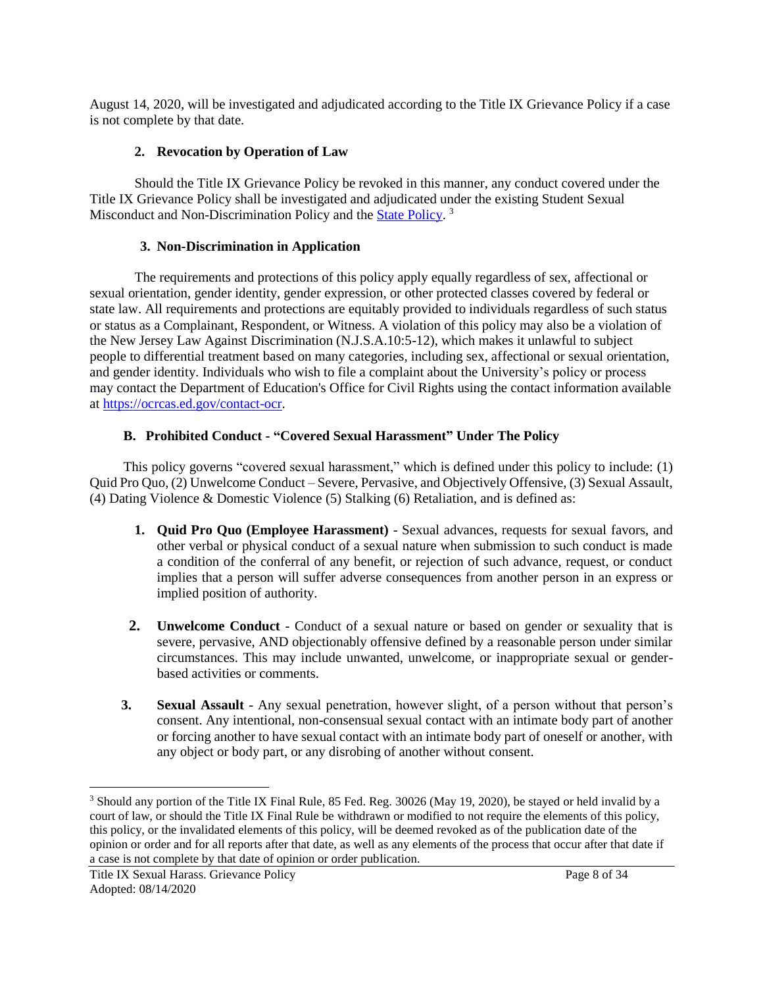August 14, 2020, will be investigated and adjudicated according to the Title IX Grievance Policy if a case is not complete by that date.

#### **2. Revocation by Operation of Law**

Should the Title IX Grievance Policy be revoked in this manner, any conduct covered under the Title IX Grievance Policy shall be investigated and adjudicated under the existing Student Sexual Misconduct and Non-Discrimination Policy and the **State Policy**.<sup>3</sup>

#### **3. Non-Discrimination in Application**

The requirements and protections of this policy apply equally regardless of sex, affectional or sexual orientation, gender identity, gender expression, or other protected classes covered by federal or state law. All requirements and protections are equitably provided to individuals regardless of such status or status as a Complainant, Respondent, or Witness. A violation of this policy may also be a violation of the New Jersey Law Against Discrimination (N.J.S.A.10:5-12), which makes it unlawful to subject people to differential treatment based on many categories, including sex, affectional or sexual orientation, and gender identity. Individuals who wish to file a complaint about the University's policy or process may contact the Department of Education's Office for Civil Rights using the contact information available at [https://ocrcas.ed.gov/contact-ocr.](https://ocrcas.ed.gov/contact-ocr)

#### **B. Prohibited Conduct - "Covered Sexual Harassment" Under The Policy**

This policy governs "covered sexual harassment," which is defined under this policy to include: (1) Quid Pro Quo, (2) Unwelcome Conduct – Severe, Pervasive, and Objectively Offensive, (3) Sexual Assault, (4) Dating Violence & Domestic Violence (5) Stalking (6) Retaliation, and is defined as:

- **1. Quid Pro Quo (Employee Harassment)** Sexual advances, requests for sexual favors, and other verbal or physical conduct of a sexual nature when submission to such conduct is made a condition of the conferral of any benefit, or rejection of such advance, request, or conduct implies that a person will suffer adverse consequences from another person in an express or implied position of authority.
- **2. Unwelcome Conduct** Conduct of a sexual nature or based on gender or sexuality that is severe, pervasive, AND objectionably offensive defined by a reasonable person under similar circumstances. This may include unwanted, unwelcome, or inappropriate sexual or genderbased activities or comments.
- **3. Sexual Assault** Any sexual penetration, however slight, of a person without that person's consent. Any intentional, non-consensual sexual contact with an intimate body part of another or forcing another to have sexual contact with an intimate body part of oneself or another, with any object or body part, or any disrobing of another without consent.

<sup>&</sup>lt;sup>3</sup> Should any portion of the Title IX Final Rule, 85 Fed. Reg. 30026 (May 19, 2020), be stayed or held invalid by a court of law, or should the Title IX Final Rule be withdrawn or modified to not require the elements of this policy, this policy, or the invalidated elements of this policy, will be deemed revoked as of the publication date of the opinion or order and for all reports after that date, as well as any elements of the process that occur after that date if a case is not complete by that date of opinion or order publication.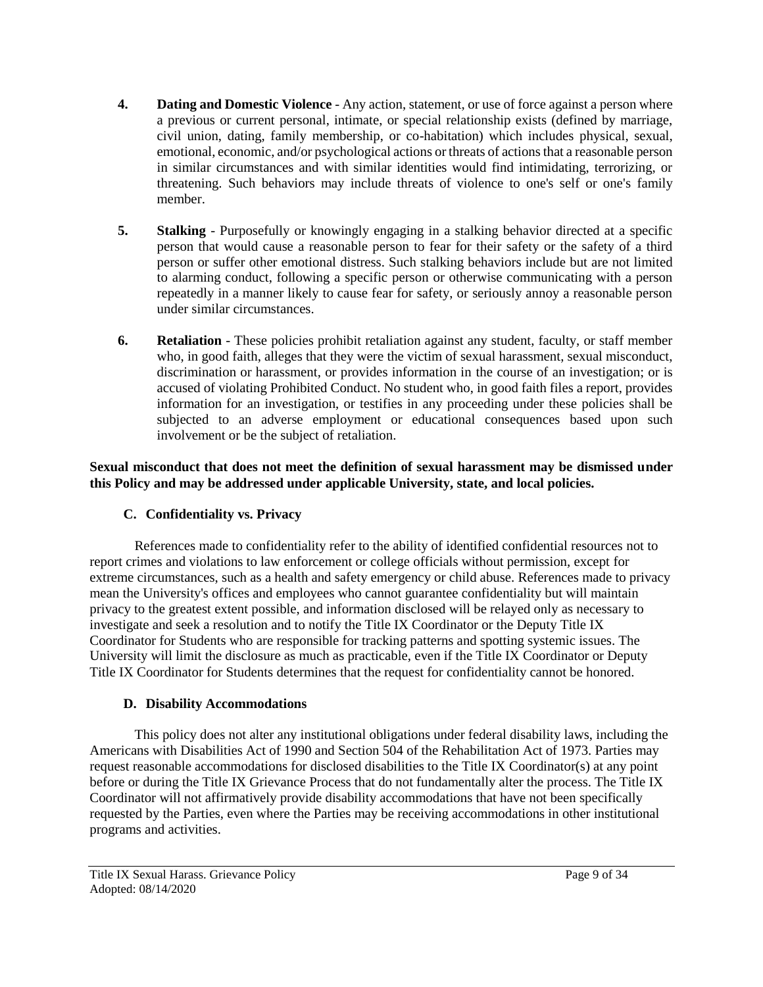- **4. Dating and Domestic Violence** Any action, statement, or use of force against a person where a previous or current personal, intimate, or special relationship exists (defined by marriage, civil union, dating, family membership, or co-habitation) which includes physical, sexual, emotional, economic, and/or psychological actions or threats of actions that a reasonable person in similar circumstances and with similar identities would find intimidating, terrorizing, or threatening. Such behaviors may include threats of violence to one's self or one's family member.
- **5. Stalking** Purposefully or knowingly engaging in a stalking behavior directed at a specific person that would cause a reasonable person to fear for their safety or the safety of a third person or suffer other emotional distress. Such stalking behaviors include but are not limited to alarming conduct, following a specific person or otherwise communicating with a person repeatedly in a manner likely to cause fear for safety, or seriously annoy a reasonable person under similar circumstances.
- **6. Retaliation** These policies prohibit retaliation against any student, faculty, or staff member who, in good faith, alleges that they were the victim of sexual harassment, sexual misconduct, discrimination or harassment, or provides information in the course of an investigation; or is accused of violating Prohibited Conduct. No student who, in good faith files a report, provides information for an investigation, or testifies in any proceeding under these policies shall be subjected to an adverse employment or educational consequences based upon such involvement or be the subject of retaliation.

# **Sexual misconduct that does not meet the definition of sexual harassment may be dismissed under this Policy and may be addressed under applicable University, state, and local policies.**

# **C. Confidentiality vs. Privacy**

References made to confidentiality refer to the ability of identified confidential resources not to report crimes and violations to law enforcement or college officials without permission, except for extreme circumstances, such as a health and safety emergency or child abuse. References made to privacy mean the University's offices and employees who cannot guarantee confidentiality but will maintain privacy to the greatest extent possible, and information disclosed will be relayed only as necessary to investigate and seek a resolution and to notify the Title IX Coordinator or the Deputy Title IX Coordinator for Students who are responsible for tracking patterns and spotting systemic issues. The University will limit the disclosure as much as practicable, even if the Title IX Coordinator or Deputy Title IX Coordinator for Students determines that the request for confidentiality cannot be honored.

# **D. Disability Accommodations**

This policy does not alter any institutional obligations under federal disability laws, including the Americans with Disabilities Act of 1990 and Section 504 of the Rehabilitation Act of 1973. Parties may request reasonable accommodations for disclosed disabilities to the Title IX Coordinator(s) at any point before or during the Title IX Grievance Process that do not fundamentally alter the process. The Title IX Coordinator will not affirmatively provide disability accommodations that have not been specifically requested by the Parties, even where the Parties may be receiving accommodations in other institutional programs and activities.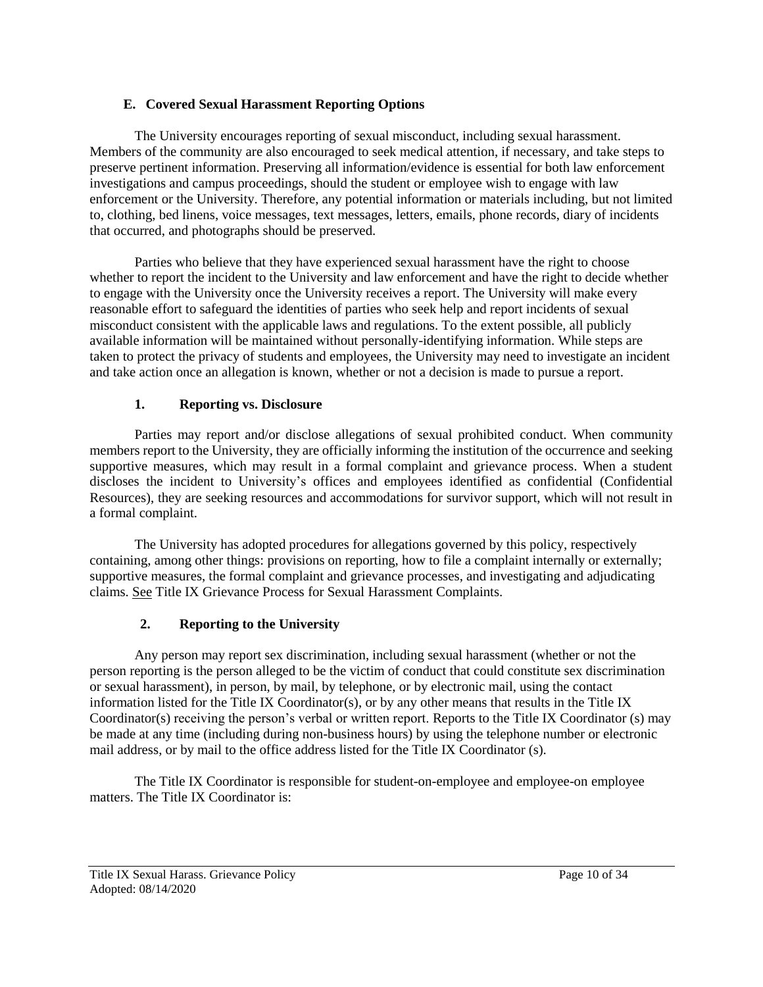# **E. Covered Sexual Harassment Reporting Options**

The University encourages reporting of sexual misconduct, including sexual harassment. Members of the community are also encouraged to seek medical attention, if necessary, and take steps to preserve pertinent information. Preserving all information/evidence is essential for both law enforcement investigations and campus proceedings, should the student or employee wish to engage with law enforcement or the University. Therefore, any potential information or materials including, but not limited to, clothing, bed linens, voice messages, text messages, letters, emails, phone records, diary of incidents that occurred, and photographs should be preserved.

Parties who believe that they have experienced sexual harassment have the right to choose whether to report the incident to the University and law enforcement and have the right to decide whether to engage with the University once the University receives a report. The University will make every reasonable effort to safeguard the identities of parties who seek help and report incidents of sexual misconduct consistent with the applicable laws and regulations. To the extent possible, all publicly available information will be maintained without personally-identifying information. While steps are taken to protect the privacy of students and employees, the University may need to investigate an incident and take action once an allegation is known, whether or not a decision is made to pursue a report.

# **1. Reporting vs. Disclosure**

Parties may report and/or disclose allegations of sexual prohibited conduct. When community members report to the University, they are officially informing the institution of the occurrence and seeking supportive measures, which may result in a formal complaint and grievance process. When a student discloses the incident to University's offices and employees identified as confidential (Confidential Resources), they are seeking resources and accommodations for survivor support, which will not result in a formal complaint.

The University has adopted procedures for allegations governed by this policy, respectively containing, among other things: provisions on reporting, how to file a complaint internally or externally; supportive measures, the formal complaint and grievance processes, and investigating and adjudicating claims. See Title IX Grievance Process for Sexual Harassment Complaints.

# **2. Reporting to the University**

Any person may report sex discrimination, including sexual harassment (whether or not the person reporting is the person alleged to be the victim of conduct that could constitute sex discrimination or sexual harassment), in person, by mail, by telephone, or by electronic mail, using the contact information listed for the Title IX Coordinator(s), or by any other means that results in the Title IX Coordinator(s) receiving the person's verbal or written report. Reports to the Title IX Coordinator (s) may be made at any time (including during non-business hours) by using the telephone number or electronic mail address, or by mail to the office address listed for the Title IX Coordinator (s).

The Title IX Coordinator is responsible for student-on-employee and employee-on employee matters. The Title IX Coordinator is: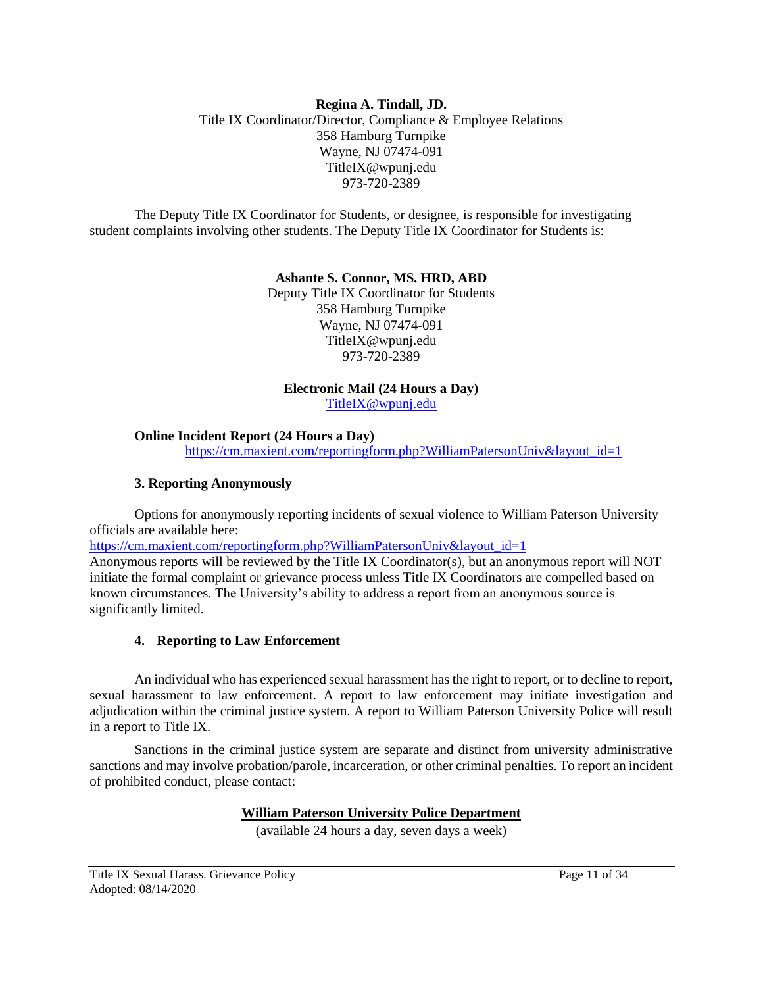#### **Regina A. Tindall, JD.** Title IX Coordinator/Director, Compliance & Employee Relations 358 Hamburg Turnpike Wayne, NJ 07474-091 TitleIX@wpunj.edu 973-720-2389

The Deputy Title IX Coordinator for Students, or designee, is responsible for investigating student complaints involving other students. The Deputy Title IX Coordinator for Students is:

#### **Ashante S. Connor, MS. HRD, ABD**

Deputy Title IX Coordinator for Students 358 Hamburg Turnpike Wayne, NJ 07474-091 TitleIX@wpunj.edu 973-720-2389

### **Electronic Mail (24 Hours a Day)**

[TitleIX@wpunj.edu](mailto:TitleIX@wpunj.edu)

#### **Online Incident Report (24 Hours a Day)**

[https://cm.maxient.com/reportingform.php?WilliamPatersonUniv&layout\\_id=1](https://cm.maxient.com/reportingform.php?WilliamPatersonUniv&layout_id=1)

#### **3. Reporting Anonymously**

Options for anonymously reporting incidents of sexual violence to William Paterson University officials are available here:

[https://cm.maxient.com/reportingform.php?WilliamPatersonUniv&layout\\_id=1](https://cm.maxient.com/reportingform.php?WilliamPatersonUniv&layout_id=1)

Anonymous reports will be reviewed by the Title IX Coordinator(s), but an anonymous report will NOT initiate the formal complaint or grievance process unless Title IX Coordinators are compelled based on known circumstances. The University's ability to address a report from an anonymous source is significantly limited.

### **4. Reporting to Law Enforcement**

An individual who has experienced sexual harassment has the right to report, or to decline to report, sexual harassment to law enforcement. A report to law enforcement may initiate investigation and adjudication within the criminal justice system. A report to William Paterson University Police will result in a report to Title IX.

Sanctions in the criminal justice system are separate and distinct from university administrative sanctions and may involve probation/parole, incarceration, or other criminal penalties. To report an incident of prohibited conduct, please contact:

### **[William Paterson University Police Department](https://www.wpunj.edu/police/)**

(available 24 hours a day, seven days a week)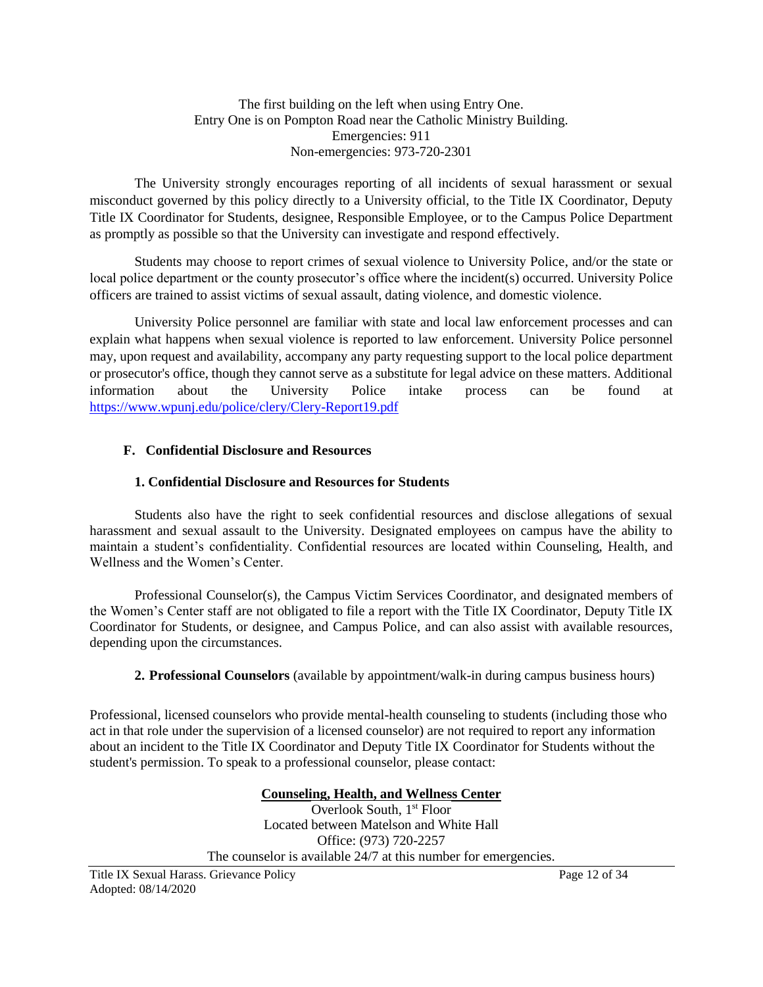The first building on the left when using Entry One. Entry One is on Pompton Road near the Catholic Ministry Building. Emergencies: 911 Non-emergencies: 973-720-2301

The University strongly encourages reporting of all incidents of sexual harassment or sexual misconduct governed by this policy directly to a University official, to the Title IX Coordinator, Deputy Title IX Coordinator for Students, designee, Responsible Employee, or to the Campus Police Department as promptly as possible so that the University can investigate and respond effectively.

Students may choose to report crimes of sexual violence to University Police, and/or the state or local police department or the county prosecutor's office where the incident(s) occurred. University Police officers are trained to assist victims of sexual assault, dating violence, and domestic violence.

University Police personnel are familiar with state and local law enforcement processes and can explain what happens when sexual violence is reported to law enforcement. University Police personnel may, upon request and availability, accompany any party requesting support to the local police department or prosecutor's office, though they cannot serve as a substitute for legal advice on these matters. Additional information about the University Police intake process can be found at <https://www.wpunj.edu/police/clery/Clery-Report19.pdf>

#### **F. Confidential Disclosure and Resources**

#### **1. Confidential Disclosure and Resources for Students**

Students also have the right to seek confidential resources and disclose allegations of sexual harassment and sexual assault to the University. Designated employees on campus have the ability to maintain a student's confidentiality. Confidential resources are located within Counseling, Health, and Wellness and the Women's Center.

Professional Counselor(s), the Campus Victim Services Coordinator, and designated members of the Women's Center staff are not obligated to file a report with the Title IX Coordinator, Deputy Title IX Coordinator for Students, or designee, and Campus Police, and can also assist with available resources, depending upon the circumstances.

### **2. Professional Counselors** (available by appointment/walk-in during campus business hours)

Professional, licensed counselors who provide mental-health counseling to students (including those who act in that role under the supervision of a licensed counselor) are not required to report any information about an incident to the Title IX Coordinator and Deputy Title IX Coordinator for Students without the student's permission. To speak to a professional counselor, please contact:

> **[Counseling, Health, and Wellness Center](https://www.wpunj.edu/health-wellness/index.html)** Overlook South, 1<sup>st</sup> Floor Located between Matelson and White Hall Office: (973) 720-2257 The counselor is available 24/7 at this number for emergencies.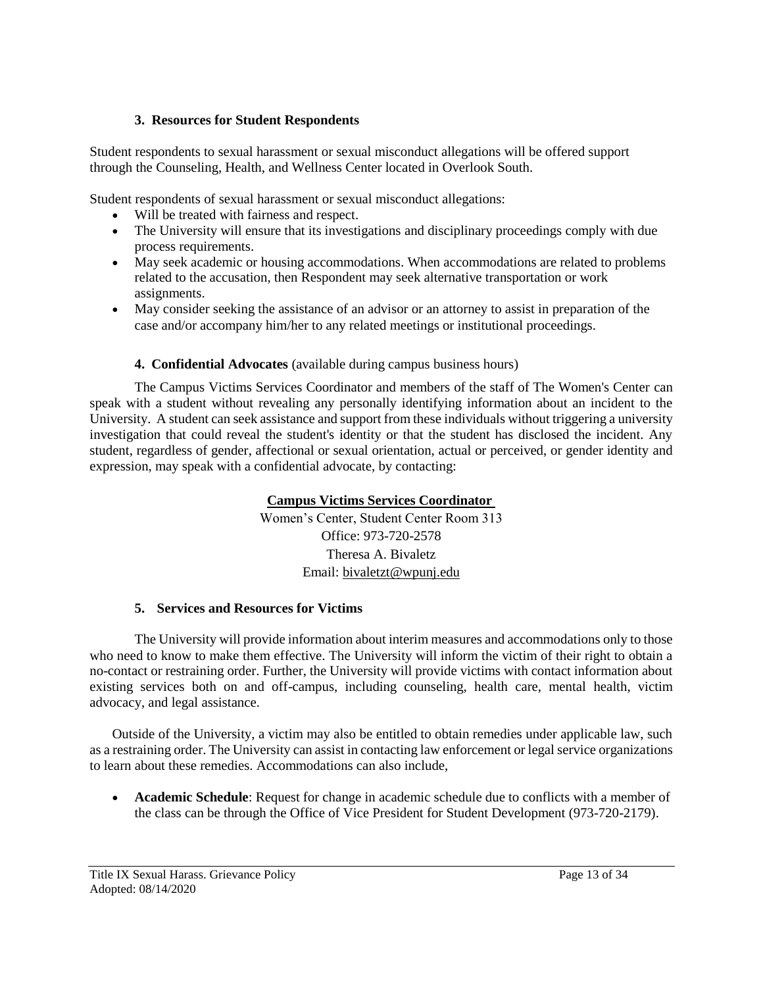# **3. Resources for Student Respondents**

Student respondents to sexual harassment or sexual misconduct allegations will be offered support through the Counseling, Health, and Wellness Center located in Overlook South.

Student respondents of sexual harassment or sexual misconduct allegations:

- Will be treated with fairness and respect.
- The University will ensure that its investigations and disciplinary proceedings comply with due process requirements.
- May seek academic or housing accommodations. When accommodations are related to problems related to the accusation, then Respondent may seek alternative transportation or work assignments.
- May consider seeking the assistance of an advisor or an attorney to assist in preparation of the case and/or accompany him/her to any related meetings or institutional proceedings.

# **4. Confidential Advocates** (available during campus business hours)

The Campus Victims Services Coordinator and members of the staff of The Women's Center can speak with a student without revealing any personally identifying information about an incident to the University. A student can seek assistance and support from these individuals without triggering a university investigation that could reveal the student's identity or that the student has disclosed the incident. Any student, regardless of gender, affectional or sexual orientation, actual or perceived, or gender identity and expression, may speak with a confidential advocate, by contacting:

# **[Campus Victims](https://www.wpunj.edu/womens-center/campus-victim-services/) Services Coordinator**

Women's Center, Student Center Room 313 Office: 973-720-2578 Theresa A. Bivaletz Email: [bivaletzt@wpunj.edu](mailto:bivaletzt@wpunj.edu)

### **5. Services and Resources for Victims**

The University will provide information about interim measures and accommodations only to those who need to know to make them effective. The University will inform the victim of their right to obtain a no-contact or restraining order. Further, the University will provide victims with contact information about existing services both on and off-campus, including counseling, health care, mental health, victim advocacy, and legal assistance.

Outside of the University, a victim may also be entitled to obtain remedies under applicable law, such as a restraining order. The University can assist in contacting law enforcement or legal service organizations to learn about these remedies. Accommodations can also include,

 **Academic Schedule**: Request for change in academic schedule due to conflicts with a member of the class can be through the Office of Vice President for Student Development (973-720-2179).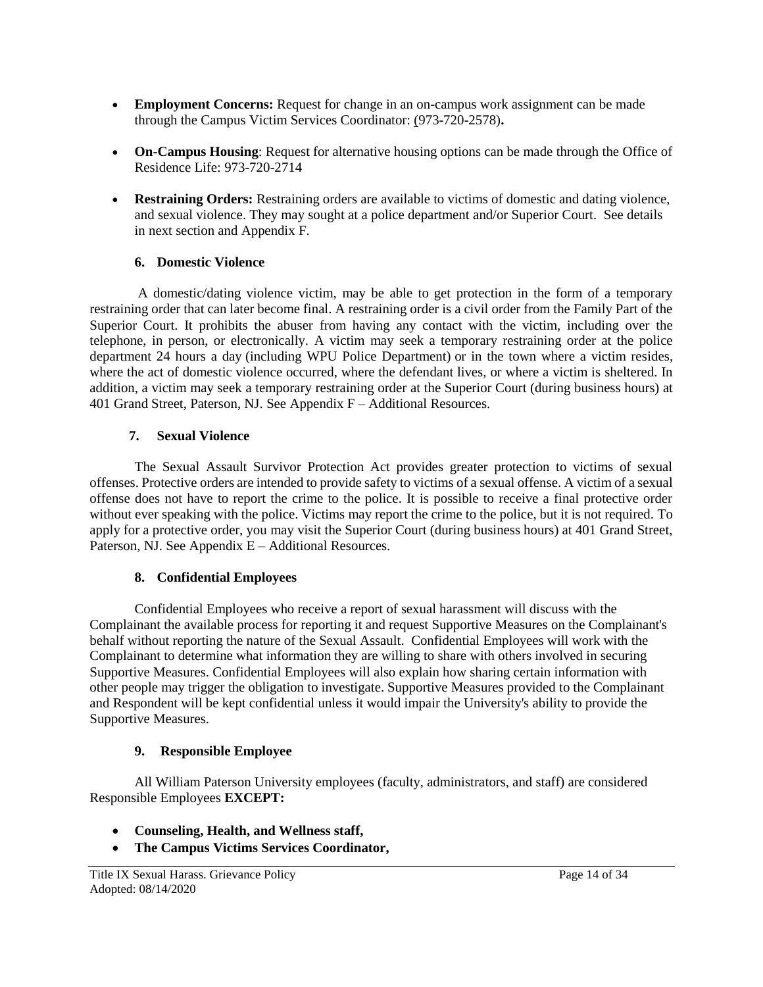- **Employment Concerns:** Request for change in an on-campus work assignment can be made through the Campus Victim Services Coordinator: (973-720-2578)**.**
- **On-Campus Housing**: Request for alternative housing options can be made through the Office of Residence Life: 973-720-2714
- **Restraining Orders:** Restraining orders are available to victims of domestic and dating violence, and sexual violence. They may sought at a police department and/or Superior Court. See details in next section and Appendix F.

### **6. Domestic Violence**

A domestic/dating violence victim, may be able to get protection in the form of a temporary restraining order that can later become final. A restraining order is a civil order from the Family Part of the Superior Court. It prohibits the abuser from having any contact with the victim, including over the telephone, in person, or electronically. A victim may seek a temporary restraining order at the police department 24 hours a day (including WPU Police Department) or in the town where a victim resides, where the act of domestic violence occurred, where the defendant lives, or where a victim is sheltered. In addition, a victim may seek a temporary restraining order at the Superior Court (during business hours) at 401 Grand Street, Paterson, NJ. See Appendix F – Additional Resources.

# **7. Sexual Violence**

The Sexual Assault Survivor Protection Act provides greater protection to victims of sexual offenses. Protective orders are intended to provide safety to victims of a sexual offense. A victim of a sexual offense does not have to report the crime to the police. It is possible to receive a final protective order without ever speaking with the police. Victims may report the crime to the police, but it is not required. To apply for a protective order, you may visit the Superior Court (during business hours) at 401 Grand Street, Paterson, NJ. See Appendix E – Additional Resources.

### **8. Confidential Employees**

Confidential Employees who receive a report of sexual harassment will discuss with the Complainant the available process for reporting it and request Supportive Measures on the Complainant's behalf without reporting the nature of the Sexual Assault. Confidential Employees will work with the Complainant to determine what information they are willing to share with others involved in securing Supportive Measures. Confidential Employees will also explain how sharing certain information with other people may trigger the obligation to investigate. Supportive Measures provided to the Complainant and Respondent will be kept confidential unless it would impair the University's ability to provide the Supportive Measures.

# **9. Responsible Employee**

All William Paterson University employees (faculty, administrators, and staff) are considered Responsible Employees **EXCEPT:** 

- **Counseling, Health, and Wellness staff,**
- **The Campus Victims Services Coordinator,**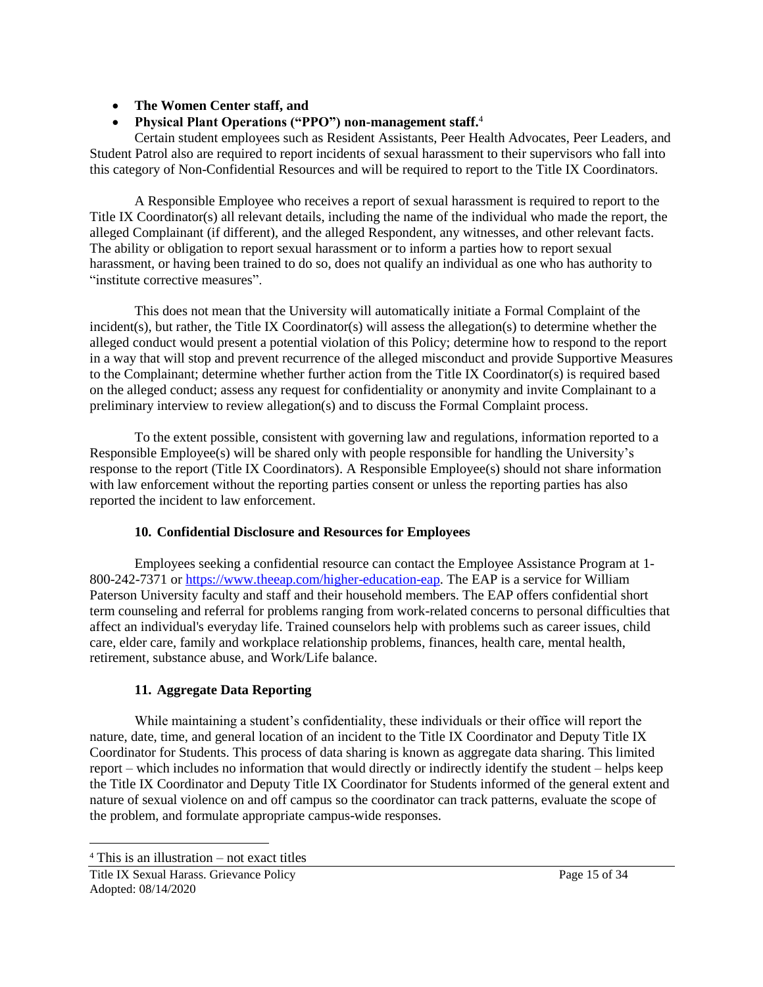# **The Women Center staff, and**

# **Physical Plant Operations ("PPO") non-management staff.**<sup>4</sup>

Certain student employees such as Resident Assistants, Peer Health Advocates, Peer Leaders, and Student Patrol also are required to report incidents of sexual harassment to their supervisors who fall into this category of Non-Confidential Resources and will be required to report to the Title IX Coordinators.

A Responsible Employee who receives a report of sexual harassment is required to report to the Title IX Coordinator(s) all relevant details, including the name of the individual who made the report, the alleged Complainant (if different), and the alleged Respondent, any witnesses, and other relevant facts. The ability or obligation to report sexual harassment or to inform a parties how to report sexual harassment, or having been trained to do so, does not qualify an individual as one who has authority to "institute corrective measures".

This does not mean that the University will automatically initiate a Formal Complaint of the incident(s), but rather, the Title IX Coordinator(s) will assess the allegation(s) to determine whether the alleged conduct would present a potential violation of this Policy; determine how to respond to the report in a way that will stop and prevent recurrence of the alleged misconduct and provide Supportive Measures to the Complainant; determine whether further action from the Title IX Coordinator(s) is required based on the alleged conduct; assess any request for confidentiality or anonymity and invite Complainant to a preliminary interview to review allegation(s) and to discuss the Formal Complaint process.

To the extent possible, consistent with governing law and regulations, information reported to a Responsible Employee(s) will be shared only with people responsible for handling the University's response to the report (Title IX Coordinators). A Responsible Employee(s) should not share information with law enforcement without the reporting parties consent or unless the reporting parties has also reported the incident to law enforcement.

# **10. Confidential Disclosure and Resources for Employees**

Employees seeking a confidential resource can contact the Employee Assistance Program at 1- 800-242-7371 or [https://www.theeap.com/higher-education-eap.](https://nam11.safelinks.protection.outlook.com/?url=https%3A%2F%2Fwww.theeap.com%2Fhigher-education-eap&data=01%7C01%7C%7C0c83a5939a0f422e92f308d81d11df9c%7C74540637643546cc87a46d38efb78538%7C0&sdata=dqcLR6YQcVx7bt4Lyy8O31%2FR%2BLgNh%2F48ADj7iGtFdcM%3D&reserved=0) The EAP is a service for William Paterson University faculty and staff and their household members. The EAP offers confidential short term counseling and referral for problems ranging from work-related concerns to personal difficulties that affect an individual's everyday life. Trained counselors help with problems such as career issues, child care, elder care, family and workplace relationship problems, finances, health care, mental health, retirement, substance abuse, and Work/Life balance.

# **11. Aggregate Data Reporting**

While maintaining a student's confidentiality, these individuals or their office will report the nature, date, time, and general location of an incident to the Title IX Coordinator and Deputy Title IX Coordinator for Students. This process of data sharing is known as aggregate data sharing. This limited report – which includes no information that would directly or indirectly identify the student – helps keep the Title IX Coordinator and Deputy Title IX Coordinator for Students informed of the general extent and nature of sexual violence on and off campus so the coordinator can track patterns, evaluate the scope of the problem, and formulate appropriate campus-wide responses.

 $4$  This is an illustration – not exact titles

Title IX Sexual Harass. Grievance Policy **Page 15 of 34** Page 15 of 34 Adopted: 08/14/2020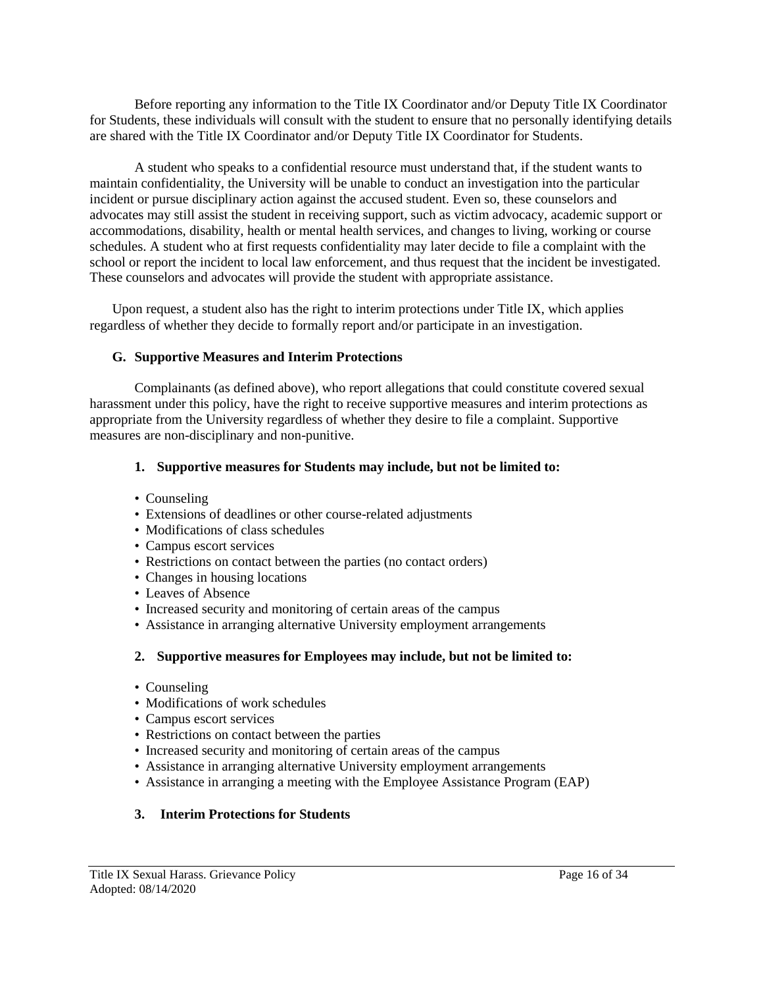Before reporting any information to the Title IX Coordinator and/or Deputy Title IX Coordinator for Students, these individuals will consult with the student to ensure that no personally identifying details are shared with the Title IX Coordinator and/or Deputy Title IX Coordinator for Students.

A student who speaks to a confidential resource must understand that, if the student wants to maintain confidentiality, the University will be unable to conduct an investigation into the particular incident or pursue disciplinary action against the accused student. Even so, these counselors and advocates may still assist the student in receiving support, such as victim advocacy, academic support or accommodations, disability, health or mental health services, and changes to living, working or course schedules. A student who at first requests confidentiality may later decide to file a complaint with the school or report the incident to local law enforcement, and thus request that the incident be investigated. These counselors and advocates will provide the student with appropriate assistance.

Upon request, a student also has the right to interim protections under Title IX, which applies regardless of whether they decide to formally report and/or participate in an investigation.

#### **G. Supportive Measures and Interim Protections**

Complainants (as defined above), who report allegations that could constitute covered sexual harassment under this policy, have the right to receive supportive measures and interim protections as appropriate from the University regardless of whether they desire to file a complaint. Supportive measures are non-disciplinary and non-punitive.

#### **1. Supportive measures for Students may include, but not be limited to:**

- Counseling
- Extensions of deadlines or other course-related adjustments
- Modifications of class schedules
- Campus escort services
- Restrictions on contact between the parties (no contact orders)
- Changes in housing locations
- Leaves of Absence
- Increased security and monitoring of certain areas of the campus
- Assistance in arranging alternative University employment arrangements

#### **2. Supportive measures for Employees may include, but not be limited to:**

- Counseling
- Modifications of work schedules
- Campus escort services
- Restrictions on contact between the parties
- Increased security and monitoring of certain areas of the campus
- Assistance in arranging alternative University employment arrangements
- Assistance in arranging a meeting with the Employee Assistance Program (EAP)

### **3. Interim Protections for Students**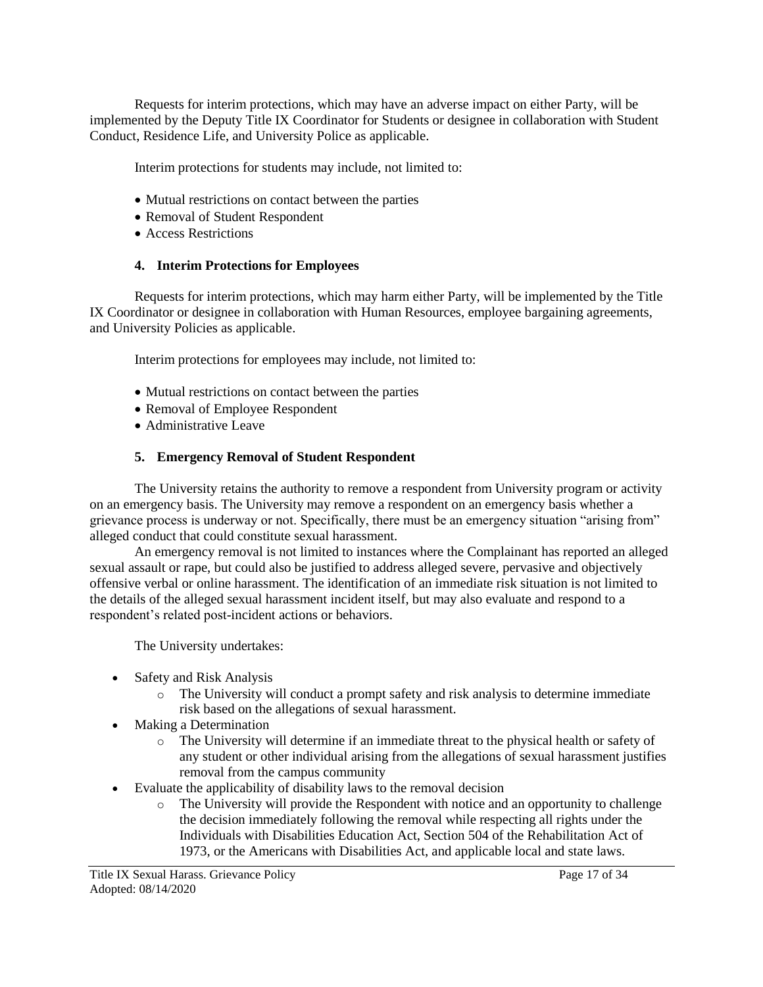Requests for interim protections, which may have an adverse impact on either Party, will be implemented by the Deputy Title IX Coordinator for Students or designee in collaboration with Student Conduct, Residence Life, and University Police as applicable.

Interim protections for students may include, not limited to:

- Mutual restrictions on contact between the parties
- Removal of Student Respondent
- Access Restrictions

#### **4. Interim Protections for Employees**

Requests for interim protections, which may harm either Party, will be implemented by the Title IX Coordinator or designee in collaboration with Human Resources, employee bargaining agreements, and University Policies as applicable.

Interim protections for employees may include, not limited to:

- Mutual restrictions on contact between the parties
- Removal of Employee Respondent
- Administrative Leave

#### **5. Emergency Removal of Student Respondent**

The University retains the authority to remove a respondent from University program or activity on an emergency basis. The University may remove a respondent on an emergency basis whether a grievance process is underway or not. Specifically, there must be an emergency situation "arising from" alleged conduct that could constitute sexual harassment.

An emergency removal is not limited to instances where the Complainant has reported an alleged sexual assault or rape, but could also be justified to address alleged severe, pervasive and objectively offensive verbal or online harassment. The identification of an immediate risk situation is not limited to the details of the alleged sexual harassment incident itself, but may also evaluate and respond to a respondent's related post-incident actions or behaviors.

The University undertakes:

- Safety and Risk Analysis
	- o The University will conduct a prompt safety and risk analysis to determine immediate risk based on the allegations of sexual harassment.
- Making a Determination
	- o The University will determine if an immediate threat to the physical health or safety of any student or other individual arising from the allegations of sexual harassment justifies removal from the campus community
- Evaluate the applicability of disability laws to the removal decision
	- $\circ$  The University will provide the Respondent with notice and an opportunity to challenge the decision immediately following the removal while respecting all rights under the Individuals with Disabilities Education Act, Section 504 of the Rehabilitation Act of 1973, or the Americans with Disabilities Act, and applicable local and state laws.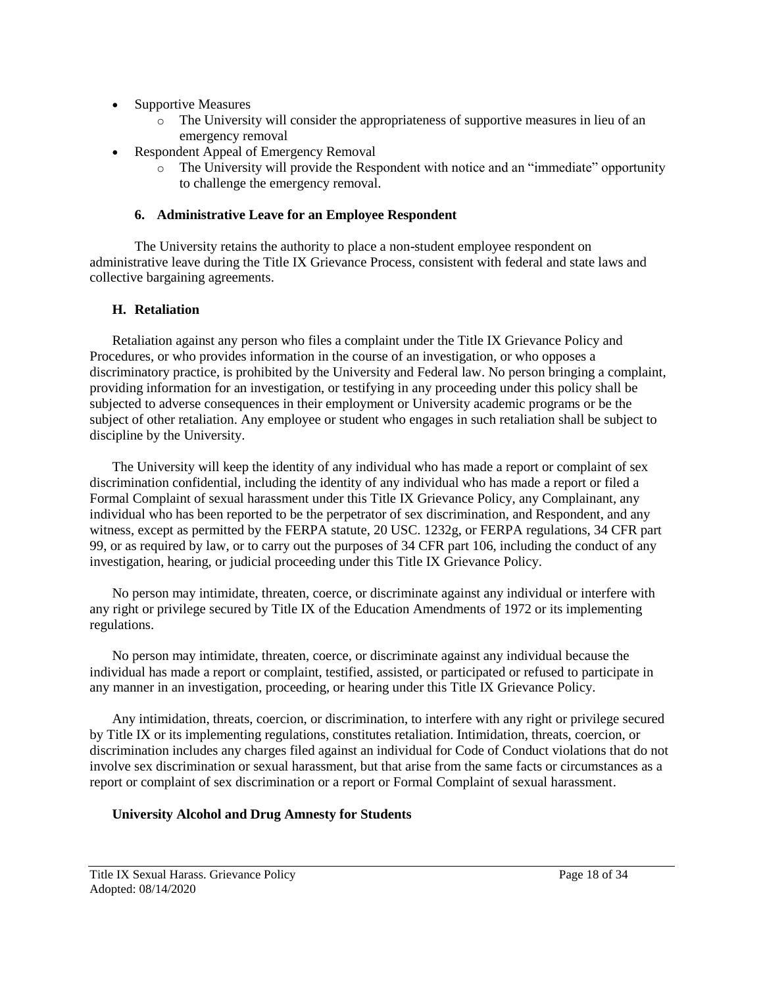- Supportive Measures
	- o The University will consider the appropriateness of supportive measures in lieu of an emergency removal
- Respondent Appeal of Emergency Removal
	- o The University will provide the Respondent with notice and an "immediate" opportunity to challenge the emergency removal.

### **6. Administrative Leave for an Employee Respondent**

The University retains the authority to place a non-student employee respondent on administrative leave during the Title IX Grievance Process, consistent with federal and state laws and collective bargaining agreements.

# **H. Retaliation**

Retaliation against any person who files a complaint under the Title IX Grievance Policy and Procedures, or who provides information in the course of an investigation, or who opposes a discriminatory practice, is prohibited by the University and Federal law. No person bringing a complaint, providing information for an investigation, or testifying in any proceeding under this policy shall be subjected to adverse consequences in their employment or University academic programs or be the subject of other retaliation. Any employee or student who engages in such retaliation shall be subject to discipline by the University.

The University will keep the identity of any individual who has made a report or complaint of sex discrimination confidential, including the identity of any individual who has made a report or filed a Formal Complaint of sexual harassment under this Title IX Grievance Policy, any Complainant, any individual who has been reported to be the perpetrator of sex discrimination, and Respondent, and any witness, except as permitted by the FERPA statute, 20 USC. 1232g, or FERPA regulations, 34 CFR part 99, or as required by law, or to carry out the purposes of 34 CFR part 106, including the conduct of any investigation, hearing, or judicial proceeding under this Title IX Grievance Policy.

No person may intimidate, threaten, coerce, or discriminate against any individual or interfere with any right or privilege secured by Title IX of the Education Amendments of 1972 or its implementing regulations.

No person may intimidate, threaten, coerce, or discriminate against any individual because the individual has made a report or complaint, testified, assisted, or participated or refused to participate in any manner in an investigation, proceeding, or hearing under this Title IX Grievance Policy.

Any intimidation, threats, coercion, or discrimination, to interfere with any right or privilege secured by Title IX or its implementing regulations, constitutes retaliation. Intimidation, threats, coercion, or discrimination includes any charges filed against an individual for Code of Conduct violations that do not involve sex discrimination or sexual harassment, but that arise from the same facts or circumstances as a report or complaint of sex discrimination or a report or Formal Complaint of sexual harassment.

# **University Alcohol and Drug Amnesty for Students**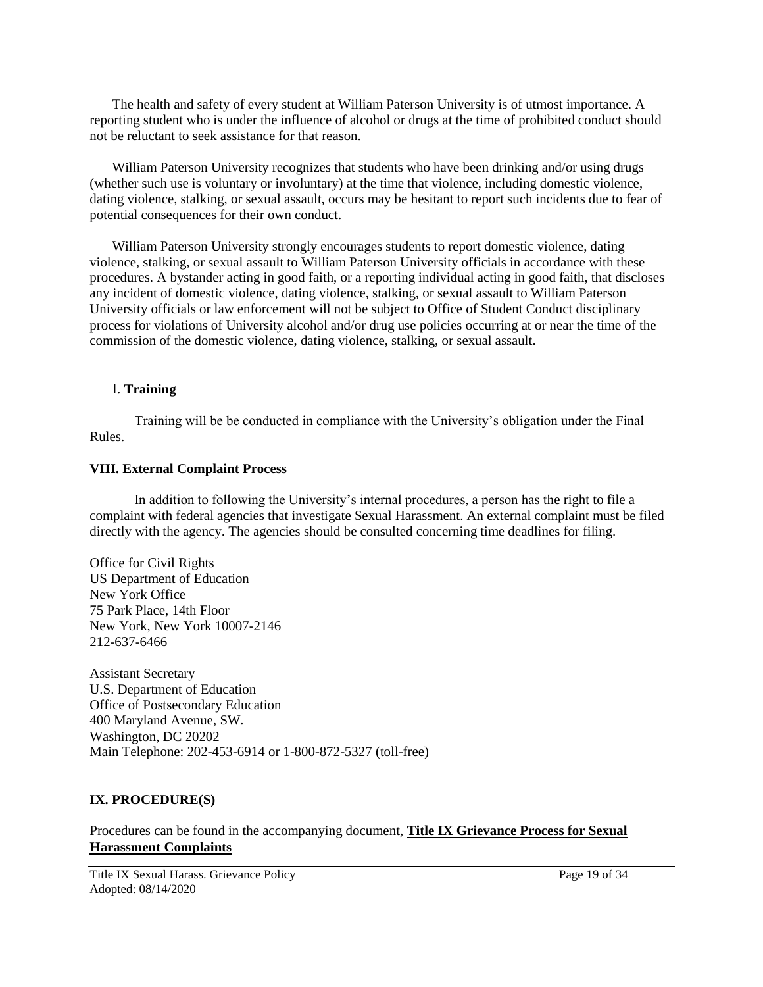The health and safety of every student at William Paterson University is of utmost importance. A reporting student who is under the influence of alcohol or drugs at the time of prohibited conduct should not be reluctant to seek assistance for that reason.

William Paterson University recognizes that students who have been drinking and/or using drugs (whether such use is voluntary or involuntary) at the time that violence, including domestic violence, dating violence, stalking, or sexual assault, occurs may be hesitant to report such incidents due to fear of potential consequences for their own conduct.

William Paterson University strongly encourages students to report domestic violence, dating violence, stalking, or sexual assault to William Paterson University officials in accordance with these procedures. A bystander acting in good faith, or a reporting individual acting in good faith, that discloses any incident of domestic violence, dating violence, stalking, or sexual assault to William Paterson University officials or law enforcement will not be subject to Office of Student Conduct disciplinary process for violations of University alcohol and/or drug use policies occurring at or near the time of the commission of the domestic violence, dating violence, stalking, or sexual assault.

#### I. **Training**

Training will be be conducted in compliance with the University's obligation under the Final Rules.

#### **VIII. External Complaint Process**

In addition to following the University's internal procedures, a person has the right to file a complaint with federal agencies that investigate Sexual Harassment. An external complaint must be filed directly with the agency. The agencies should be consulted concerning time deadlines for filing.

Office for Civil Rights US Department of Education New York Office 75 Park Place, 14th Floor New York, New York 10007-2146 212-637-6466

Assistant Secretary U.S. Department of Education Office of Postsecondary Education 400 Maryland Avenue, SW. Washington, DC 20202 Main Telephone: 202-453-6914 or 1-800-872-5327 (toll-free)

### **IX. PROCEDURE(S)**

Procedures can be found in the accompanying document, **Title IX Grievance Process for Sexual Harassment Complaints**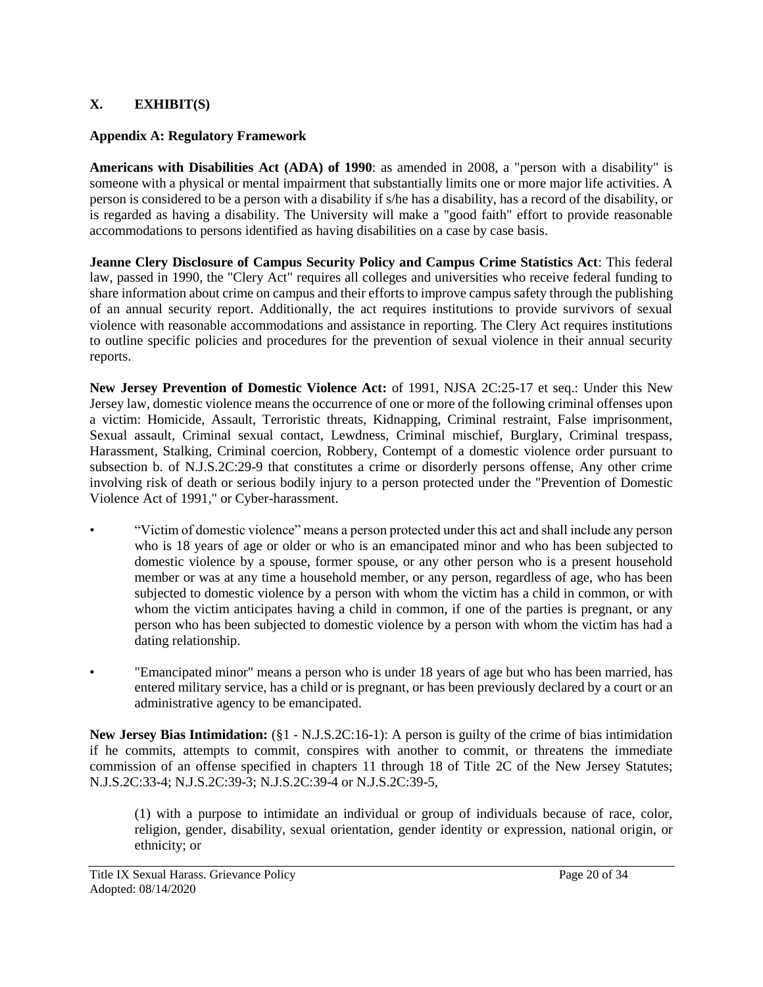# **X. EXHIBIT(S)**

# **Appendix A: Regulatory Framework**

**Americans with Disabilities Act (ADA) of 1990**: as amended in 2008, a "person with a disability" is someone with a physical or mental impairment that substantially limits one or more major life activities. A person is considered to be a person with a disability if s/he has a disability, has a record of the disability, or is regarded as having a disability. The University will make a "good faith" effort to provide reasonable accommodations to persons identified as having disabilities on a case by case basis.

**Jeanne Clery Disclosure of Campus Security Policy and Campus Crime Statistics Act**: This federal law, passed in 1990, the "Clery Act" requires all colleges and universities who receive federal funding to share information about crime on campus and their efforts to improve campus safety through the publishing of an annual security report. Additionally, the act requires institutions to provide survivors of sexual violence with reasonable accommodations and assistance in reporting. The Clery Act requires institutions to outline specific policies and procedures for the prevention of sexual violence in their annual security reports.

**New Jersey Prevention of Domestic Violence Act:** of 1991, NJSA 2C:25-17 et seq.: Under this New Jersey law, domestic violence means the occurrence of one or more of the following criminal offenses upon a victim: Homicide, Assault, Terroristic threats, Kidnapping, Criminal restraint, False imprisonment, Sexual assault, Criminal sexual contact, Lewdness, Criminal mischief, Burglary, Criminal trespass, Harassment, Stalking, Criminal coercion, Robbery, Contempt of a domestic violence order pursuant to subsection b. of N.J.S.2C:29-9 that constitutes a crime or disorderly persons offense, Any other crime involving risk of death or serious bodily injury to a person protected under the "Prevention of Domestic Violence Act of 1991," or Cyber-harassment.

- "Victim of domestic violence" means a person protected under this act and shall include any person who is 18 years of age or older or who is an emancipated minor and who has been subjected to domestic violence by a spouse, former spouse, or any other person who is a present household member or was at any time a household member, or any person, regardless of age, who has been subjected to domestic violence by a person with whom the victim has a child in common, or with whom the victim anticipates having a child in common, if one of the parties is pregnant, or any person who has been subjected to domestic violence by a person with whom the victim has had a dating relationship.
- "Emancipated minor" means a person who is under 18 years of age but who has been married, has entered military service, has a child or is pregnant, or has been previously declared by a court or an administrative agency to be emancipated.

**New Jersey Bias Intimidation:** (§1 - N.J.S.2C:16-1): A person is guilty of the crime of bias intimidation if he commits, attempts to commit, conspires with another to commit, or threatens the immediate commission of an offense specified in chapters 11 through 18 of Title 2C of the New Jersey Statutes; N.J.S.2C:33-4; N.J.S.2C:39-3; N.J.S.2C:39-4 or N.J.S.2C:39-5,

(1) with a purpose to intimidate an individual or group of individuals because of race, color, religion, gender, disability, sexual orientation, gender identity or expression, national origin, or ethnicity; or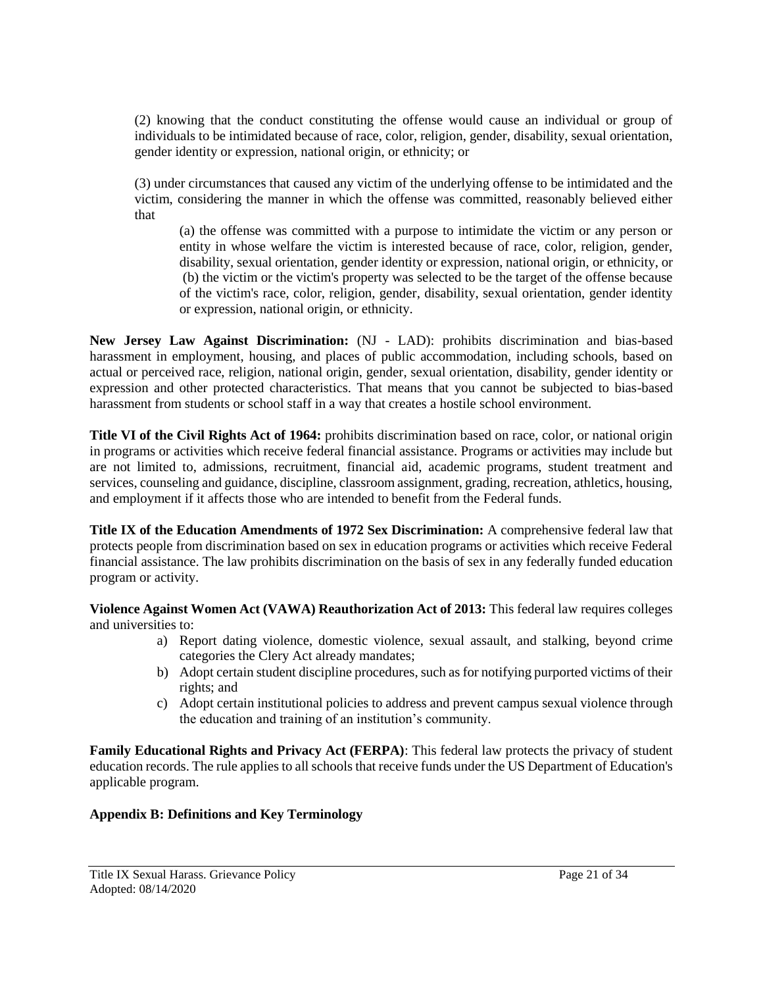(2) knowing that the conduct constituting the offense would cause an individual or group of individuals to be intimidated because of race, color, religion, gender, disability, sexual orientation, gender identity or expression, national origin, or ethnicity; or

(3) under circumstances that caused any victim of the underlying offense to be intimidated and the victim, considering the manner in which the offense was committed, reasonably believed either that

(a) the offense was committed with a purpose to intimidate the victim or any person or entity in whose welfare the victim is interested because of race, color, religion, gender, disability, sexual orientation, gender identity or expression, national origin, or ethnicity, or (b) the victim or the victim's property was selected to be the target of the offense because of the victim's race, color, religion, gender, disability, sexual orientation, gender identity or expression, national origin, or ethnicity.

**New Jersey Law Against Discrimination:** (NJ - LAD): prohibits discrimination and bias-based harassment in employment, housing, and places of public accommodation, including schools, based on actual or perceived race, religion, national origin, gender, sexual orientation, disability, gender identity or expression and other protected characteristics. That means that you cannot be subjected to bias-based harassment from students or school staff in a way that creates a hostile school environment.

**Title VI of the Civil Rights Act of 1964:** prohibits discrimination based on race, color, or national origin in programs or activities which receive federal financial assistance. Programs or activities may include but are not limited to, admissions, recruitment, financial aid, academic programs, student treatment and services, counseling and guidance, discipline, classroom assignment, grading, recreation, athletics, housing, and employment if it affects those who are intended to benefit from the Federal funds.

**Title IX of the Education Amendments of 1972 Sex Discrimination:** A comprehensive federal law that protects people from discrimination based on sex in education programs or activities which receive Federal financial assistance. The law prohibits discrimination on the basis of sex in any federally funded education program or activity.

**Violence Against Women Act (VAWA) Reauthorization Act of 2013:** This federal law requires colleges and universities to:

- a) Report dating violence, domestic violence, sexual assault, and stalking, beyond crime categories the Clery Act already mandates;
- b) Adopt certain student discipline procedures, such as for notifying purported victims of their rights; and
- c) Adopt certain institutional policies to address and prevent campus sexual violence through the education and training of an institution's community.

**Family Educational Rights and Privacy Act (FERPA)**: This federal law protects the privacy of student education records. The rule applies to all schools that receive funds under the US Department of Education's applicable program.

### **Appendix B: Definitions and Key Terminology**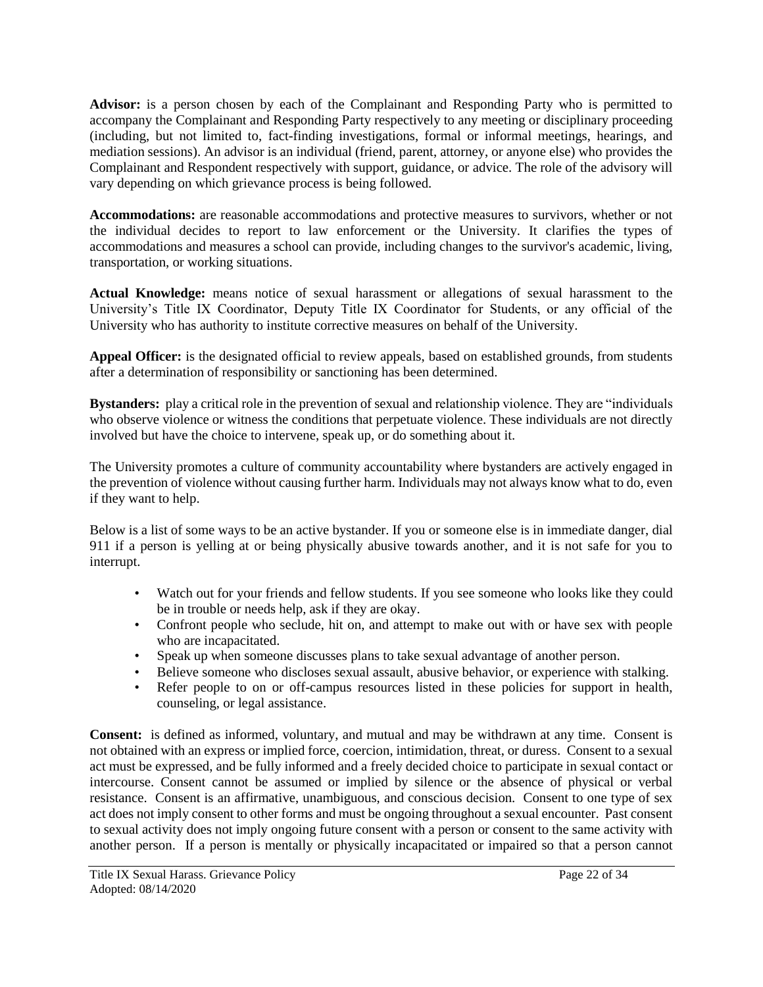**Advisor:** is a person chosen by each of the Complainant and Responding Party who is permitted to accompany the Complainant and Responding Party respectively to any meeting or disciplinary proceeding (including, but not limited to, fact-finding investigations, formal or informal meetings, hearings, and mediation sessions). An advisor is an individual (friend, parent, attorney, or anyone else) who provides the Complainant and Respondent respectively with support, guidance, or advice. The role of the advisory will vary depending on which grievance process is being followed.

**Accommodations:** are reasonable accommodations and protective measures to survivors, whether or not the individual decides to report to law enforcement or the University. It clarifies the types of accommodations and measures a school can provide, including changes to the survivor's academic, living, transportation, or working situations.

**Actual Knowledge:** means notice of sexual harassment or allegations of sexual harassment to the University's Title IX Coordinator, Deputy Title IX Coordinator for Students, or any official of the University who has authority to institute corrective measures on behalf of the University.

**Appeal Officer:** is the designated official to review appeals, based on established grounds, from students after a determination of responsibility or sanctioning has been determined.

**Bystanders:** play a critical role in the prevention of sexual and relationship violence. They are "individuals who observe violence or witness the conditions that perpetuate violence. These individuals are not directly involved but have the choice to intervene, speak up, or do something about it.

The University promotes a culture of community accountability where bystanders are actively engaged in the prevention of violence without causing further harm. Individuals may not always know what to do, even if they want to help.

Below is a list of some ways to be an active bystander. If you or someone else is in immediate danger, dial 911 if a person is yelling at or being physically abusive towards another, and it is not safe for you to interrupt.

- Watch out for your friends and fellow students. If you see someone who looks like they could be in trouble or needs help, ask if they are okay.
- Confront people who seclude, hit on, and attempt to make out with or have sex with people who are incapacitated.
- Speak up when someone discusses plans to take sexual advantage of another person.
- Believe someone who discloses sexual assault, abusive behavior, or experience with stalking.
- Refer people to on or off-campus resources listed in these policies for support in health, counseling, or legal assistance.

**Consent:** is defined as informed, voluntary, and mutual and may be withdrawn at any time. Consent is not obtained with an express or implied force, coercion, intimidation, threat, or duress. Consent to a sexual act must be expressed, and be fully informed and a freely decided choice to participate in sexual contact or intercourse. Consent cannot be assumed or implied by silence or the absence of physical or verbal resistance. Consent is an affirmative, unambiguous, and conscious decision. Consent to one type of sex act does not imply consent to other forms and must be ongoing throughout a sexual encounter. Past consent to sexual activity does not imply ongoing future consent with a person or consent to the same activity with another person. If a person is mentally or physically incapacitated or impaired so that a person cannot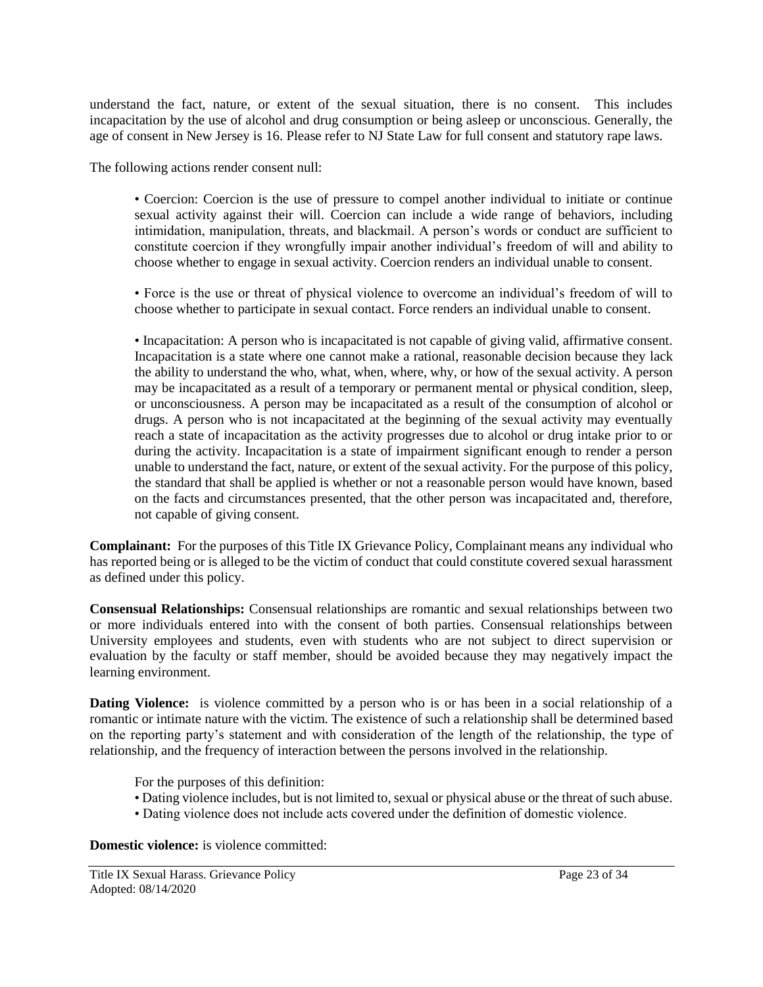understand the fact, nature, or extent of the sexual situation, there is no consent. This includes incapacitation by the use of alcohol and drug consumption or being asleep or unconscious. Generally, the age of consent in New Jersey is 16. Please refer to NJ State Law for full consent and statutory rape laws.

The following actions render consent null:

• Coercion: Coercion is the use of pressure to compel another individual to initiate or continue sexual activity against their will. Coercion can include a wide range of behaviors, including intimidation, manipulation, threats, and blackmail. A person's words or conduct are sufficient to constitute coercion if they wrongfully impair another individual's freedom of will and ability to choose whether to engage in sexual activity. Coercion renders an individual unable to consent.

• Force is the use or threat of physical violence to overcome an individual's freedom of will to choose whether to participate in sexual contact. Force renders an individual unable to consent.

• Incapacitation: A person who is incapacitated is not capable of giving valid, affirmative consent. Incapacitation is a state where one cannot make a rational, reasonable decision because they lack the ability to understand the who, what, when, where, why, or how of the sexual activity. A person may be incapacitated as a result of a temporary or permanent mental or physical condition, sleep, or unconsciousness. A person may be incapacitated as a result of the consumption of alcohol or drugs. A person who is not incapacitated at the beginning of the sexual activity may eventually reach a state of incapacitation as the activity progresses due to alcohol or drug intake prior to or during the activity. Incapacitation is a state of impairment significant enough to render a person unable to understand the fact, nature, or extent of the sexual activity. For the purpose of this policy, the standard that shall be applied is whether or not a reasonable person would have known, based on the facts and circumstances presented, that the other person was incapacitated and, therefore, not capable of giving consent.

**Complainant:** For the purposes of this Title IX Grievance Policy, Complainant means any individual who has reported being or is alleged to be the victim of conduct that could constitute covered sexual harassment as defined under this policy.

**Consensual Relationships:** Consensual relationships are romantic and sexual relationships between two or more individuals entered into with the consent of both parties. Consensual relationships between University employees and students, even with students who are not subject to direct supervision or evaluation by the faculty or staff member, should be avoided because they may negatively impact the learning environment.

**Dating Violence:** is violence committed by a person who is or has been in a social relationship of a romantic or intimate nature with the victim. The existence of such a relationship shall be determined based on the reporting party's statement and with consideration of the length of the relationship, the type of relationship, and the frequency of interaction between the persons involved in the relationship.

For the purposes of this definition:

- Dating violence includes, but is not limited to, sexual or physical abuse or the threat of such abuse.
- Dating violence does not include acts covered under the definition of domestic violence.

**Domestic violence:** is violence committed: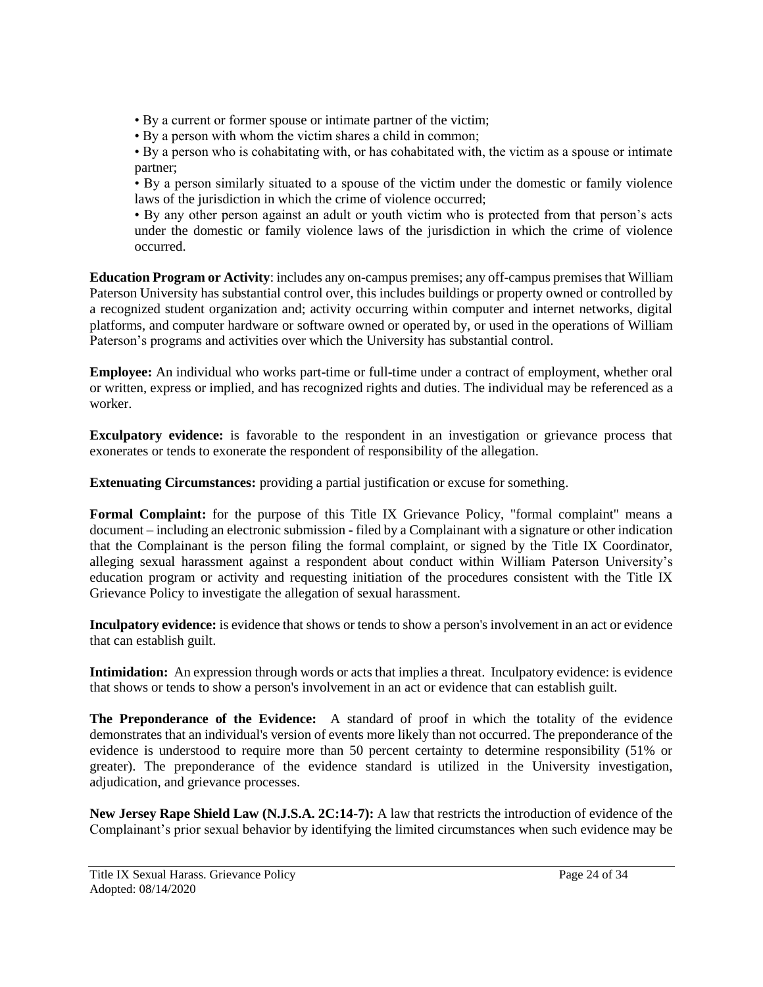- By a current or former spouse or intimate partner of the victim;
- By a person with whom the victim shares a child in common;

• By a person who is cohabitating with, or has cohabitated with, the victim as a spouse or intimate partner;

• By a person similarly situated to a spouse of the victim under the domestic or family violence laws of the jurisdiction in which the crime of violence occurred;

• By any other person against an adult or youth victim who is protected from that person's acts under the domestic or family violence laws of the jurisdiction in which the crime of violence occurred.

**Education Program or Activity**: includes any on-campus premises; any off-campus premises that William Paterson University has substantial control over, this includes buildings or property owned or controlled by a recognized student organization and; activity occurring within computer and internet networks, digital platforms, and computer hardware or software owned or operated by, or used in the operations of William Paterson's programs and activities over which the University has substantial control.

**Employee:** An individual who works part-time or full-time under a contract of employment, whether oral or written, express or implied, and has recognized rights and duties. The individual may be referenced as a worker.

**Exculpatory evidence:** is favorable to the respondent in an investigation or grievance process that exonerates or tends to exonerate the respondent of responsibility of the allegation.

**Extenuating Circumstances:** providing a partial justification or excuse for something.

Formal Complaint: for the purpose of this Title IX Grievance Policy, "formal complaint" means a document – including an electronic submission - filed by a Complainant with a signature or other indication that the Complainant is the person filing the formal complaint, or signed by the Title IX Coordinator, alleging sexual harassment against a respondent about conduct within William Paterson University's education program or activity and requesting initiation of the procedures consistent with the Title IX Grievance Policy to investigate the allegation of sexual harassment.

**Inculpatory evidence:** is evidence that shows or tends to show a person's involvement in an act or evidence that can establish guilt.

**Intimidation:** An expression through words or acts that implies a threat. Inculpatory evidence: is evidence that shows or tends to show a person's involvement in an act or evidence that can establish guilt.

**The Preponderance of the Evidence:** A standard of proof in which the totality of the evidence demonstrates that an individual's version of events more likely than not occurred. The preponderance of the evidence is understood to require more than 50 percent certainty to determine responsibility (51% or greater). The preponderance of the evidence standard is utilized in the University investigation, adjudication, and grievance processes.

**New Jersey Rape Shield Law (N.J.S.A. 2C:14-7):** A law that restricts the introduction of evidence of the Complainant's prior sexual behavior by identifying the limited circumstances when such evidence may be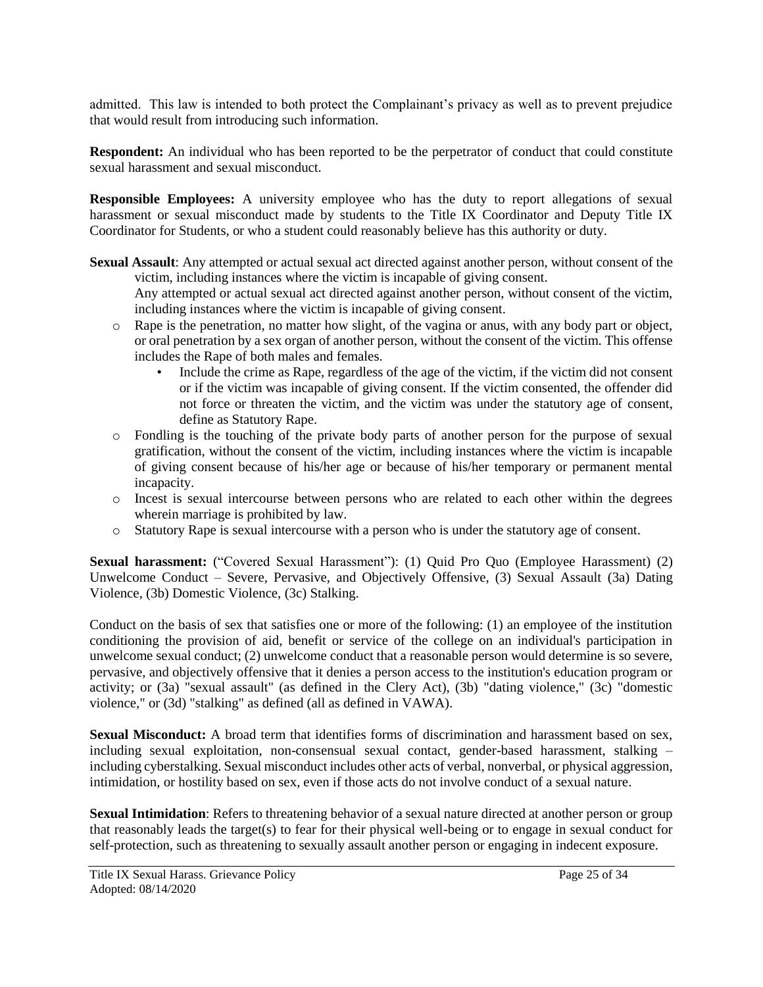admitted. This law is intended to both protect the Complainant's privacy as well as to prevent prejudice that would result from introducing such information.

**Respondent:** An individual who has been reported to be the perpetrator of conduct that could constitute sexual harassment and sexual misconduct.

**Responsible Employees:** A university employee who has the duty to report allegations of sexual harassment or sexual misconduct made by students to the Title IX Coordinator and Deputy Title IX Coordinator for Students, or who a student could reasonably believe has this authority or duty.

**Sexual Assault**: Any attempted or actual sexual act directed against another person, without consent of the victim, including instances where the victim is incapable of giving consent. Any attempted or actual sexual act directed against another person, without consent of the victim,

including instances where the victim is incapable of giving consent.

- o Rape is the penetration, no matter how slight, of the vagina or anus, with any body part or object, or oral penetration by a sex organ of another person, without the consent of the victim. This offense includes the Rape of both males and females.
	- Include the crime as Rape, regardless of the age of the victim, if the victim did not consent or if the victim was incapable of giving consent. If the victim consented, the offender did not force or threaten the victim, and the victim was under the statutory age of consent, define as Statutory Rape.
- o Fondling is the touching of the private body parts of another person for the purpose of sexual gratification, without the consent of the victim, including instances where the victim is incapable of giving consent because of his/her age or because of his/her temporary or permanent mental incapacity.
- o Incest is sexual intercourse between persons who are related to each other within the degrees wherein marriage is prohibited by law.
- o Statutory Rape is sexual intercourse with a person who is under the statutory age of consent.

**Sexual harassment:** ("Covered Sexual Harassment"): (1) Quid Pro Quo (Employee Harassment) (2) Unwelcome Conduct – Severe, Pervasive, and Objectively Offensive, (3) Sexual Assault (3a) Dating Violence, (3b) Domestic Violence, (3c) Stalking.

Conduct on the basis of sex that satisfies one or more of the following: (1) an employee of the institution conditioning the provision of aid, benefit or service of the college on an individual's participation in unwelcome sexual conduct; (2) unwelcome conduct that a reasonable person would determine is so severe, pervasive, and objectively offensive that it denies a person access to the institution's education program or activity; or (3a) "sexual assault" (as defined in the Clery Act), (3b) "dating violence," (3c) "domestic violence," or (3d) "stalking" as defined (all as defined in VAWA).

**Sexual Misconduct:** A broad term that identifies forms of discrimination and harassment based on sex, including sexual exploitation, non-consensual sexual contact, gender-based harassment, stalking – including cyberstalking. Sexual misconduct includes other acts of verbal, nonverbal, or physical aggression, intimidation, or hostility based on sex, even if those acts do not involve conduct of a sexual nature.

**Sexual Intimidation**: Refers to threatening behavior of a sexual nature directed at another person or group that reasonably leads the target(s) to fear for their physical well-being or to engage in sexual conduct for self-protection, such as threatening to sexually assault another person or engaging in indecent exposure.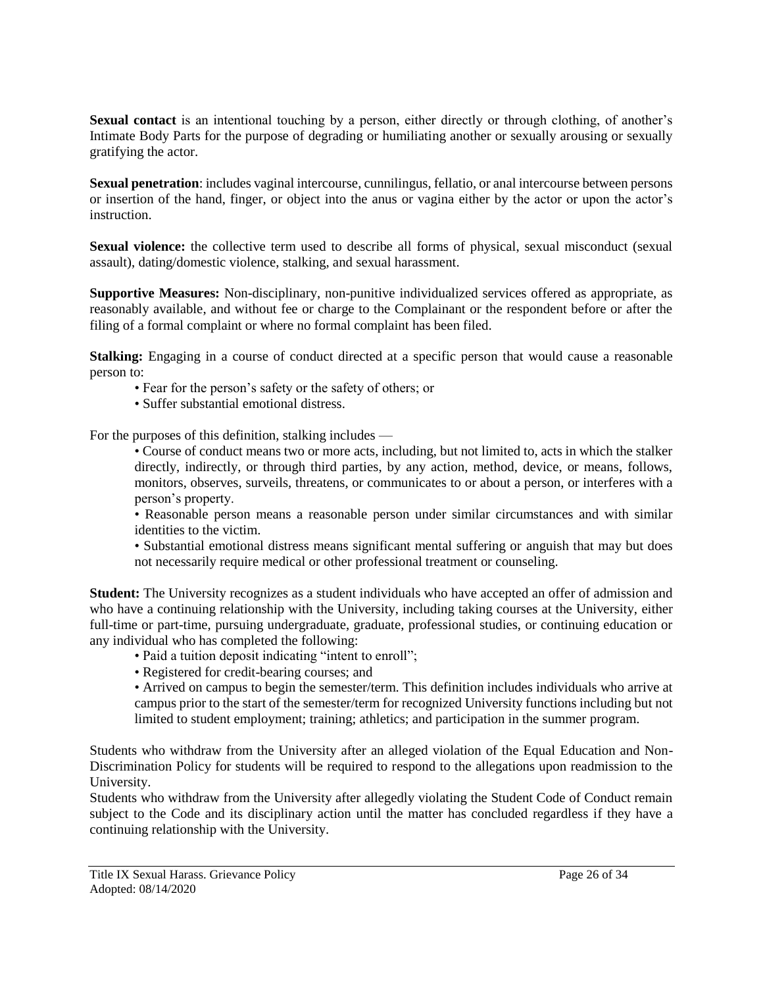**Sexual contact** is an intentional touching by a person, either directly or through clothing, of another's Intimate Body Parts for the purpose of degrading or humiliating another or sexually arousing or sexually gratifying the actor.

**Sexual penetration**: includes vaginal intercourse, cunnilingus, fellatio, or anal intercourse between persons or insertion of the hand, finger, or object into the anus or vagina either by the actor or upon the actor's instruction.

**Sexual violence:** the collective term used to describe all forms of physical, sexual misconduct (sexual assault), dating/domestic violence, stalking, and sexual harassment.

**Supportive Measures:** Non-disciplinary, non-punitive individualized services offered as appropriate, as reasonably available, and without fee or charge to the Complainant or the respondent before or after the filing of a formal complaint or where no formal complaint has been filed.

**Stalking:** Engaging in a course of conduct directed at a specific person that would cause a reasonable person to:

- Fear for the person's safety or the safety of others; or
- Suffer substantial emotional distress.

For the purposes of this definition, stalking includes —

• Course of conduct means two or more acts, including, but not limited to, acts in which the stalker directly, indirectly, or through third parties, by any action, method, device, or means, follows, monitors, observes, surveils, threatens, or communicates to or about a person, or interferes with a person's property.

• Reasonable person means a reasonable person under similar circumstances and with similar identities to the victim.

• Substantial emotional distress means significant mental suffering or anguish that may but does not necessarily require medical or other professional treatment or counseling.

**Student:** The University recognizes as a student individuals who have accepted an offer of admission and who have a continuing relationship with the University, including taking courses at the University, either full-time or part-time, pursuing undergraduate, graduate, professional studies, or continuing education or any individual who has completed the following:

- Paid a tuition deposit indicating "intent to enroll";
- Registered for credit-bearing courses; and

• Arrived on campus to begin the semester/term. This definition includes individuals who arrive at campus prior to the start of the semester/term for recognized University functions including but not limited to student employment; training; athletics; and participation in the summer program.

Students who withdraw from the University after an alleged violation of the Equal Education and Non-Discrimination Policy for students will be required to respond to the allegations upon readmission to the University.

Students who withdraw from the University after allegedly violating the Student Code of Conduct remain subject to the Code and its disciplinary action until the matter has concluded regardless if they have a continuing relationship with the University.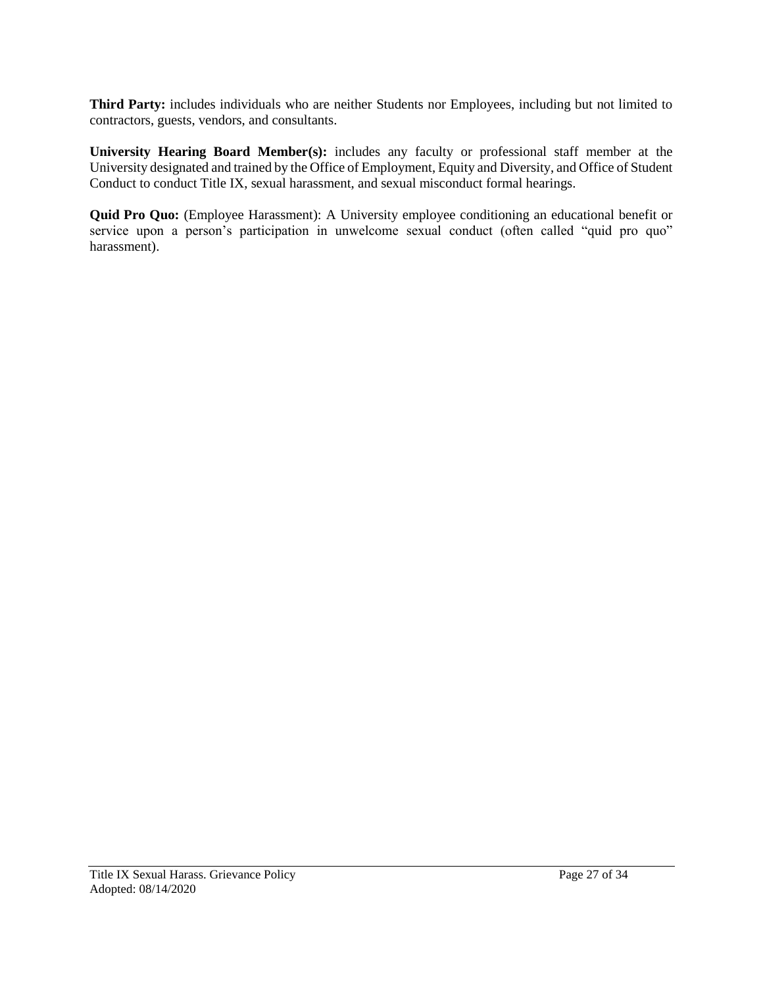**Third Party:** includes individuals who are neither Students nor Employees, including but not limited to contractors, guests, vendors, and consultants.

**University Hearing Board Member(s):** includes any faculty or professional staff member at the University designated and trained by the Office of Employment, Equity and Diversity, and Office of Student Conduct to conduct Title IX, sexual harassment, and sexual misconduct formal hearings.

**Quid Pro Quo:** (Employee Harassment): A University employee conditioning an educational benefit or service upon a person's participation in unwelcome sexual conduct (often called "quid pro quo" harassment).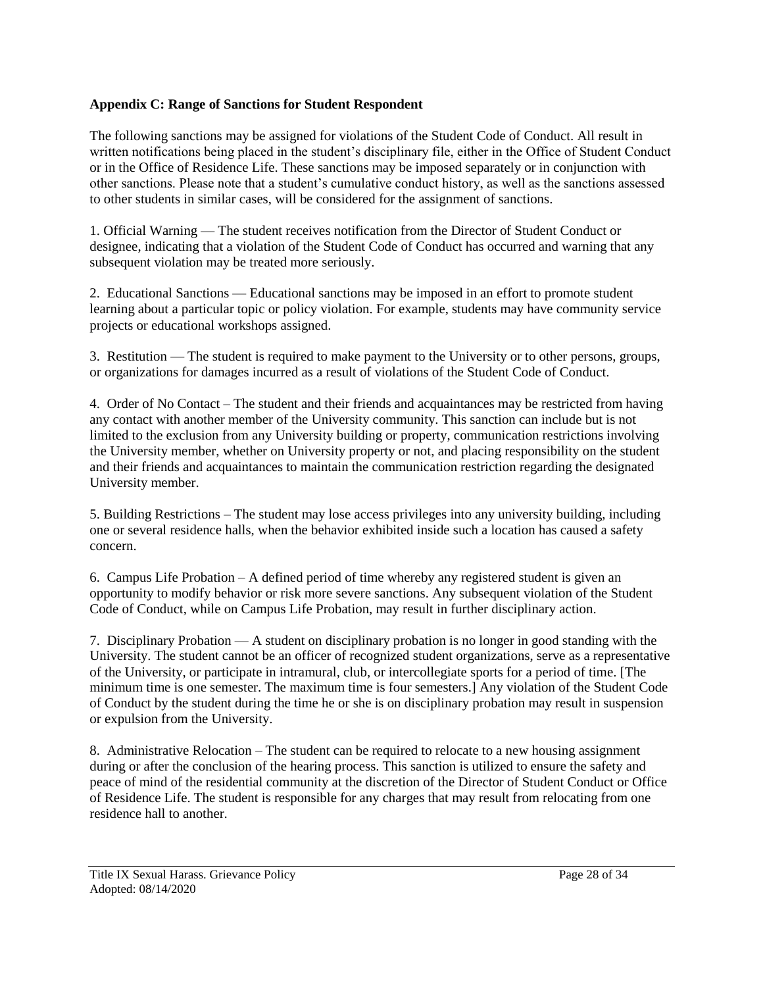# **Appendix C: Range of Sanctions for Student Respondent**

The following sanctions may be assigned for violations of the Student Code of Conduct. All result in written notifications being placed in the student's disciplinary file, either in the Office of Student Conduct or in the Office of Residence Life. These sanctions may be imposed separately or in conjunction with other sanctions. Please note that a student's cumulative conduct history, as well as the sanctions assessed to other students in similar cases, will be considered for the assignment of sanctions.

1. Official Warning — The student receives notification from the Director of Student Conduct or designee, indicating that a violation of the Student Code of Conduct has occurred and warning that any subsequent violation may be treated more seriously.

2. Educational Sanctions — Educational sanctions may be imposed in an effort to promote student learning about a particular topic or policy violation. For example, students may have community service projects or educational workshops assigned.

3. Restitution — The student is required to make payment to the University or to other persons, groups, or organizations for damages incurred as a result of violations of the Student Code of Conduct.

4. Order of No Contact – The student and their friends and acquaintances may be restricted from having any contact with another member of the University community. This sanction can include but is not limited to the exclusion from any University building or property, communication restrictions involving the University member, whether on University property or not, and placing responsibility on the student and their friends and acquaintances to maintain the communication restriction regarding the designated University member.

5. Building Restrictions – The student may lose access privileges into any university building, including one or several residence halls, when the behavior exhibited inside such a location has caused a safety concern.

6. Campus Life Probation – A defined period of time whereby any registered student is given an opportunity to modify behavior or risk more severe sanctions. Any subsequent violation of the Student Code of Conduct, while on Campus Life Probation, may result in further disciplinary action.

7. Disciplinary Probation — A student on disciplinary probation is no longer in good standing with the University. The student cannot be an officer of recognized student organizations, serve as a representative of the University, or participate in intramural, club, or intercollegiate sports for a period of time. [The minimum time is one semester. The maximum time is four semesters.] Any violation of the Student Code of Conduct by the student during the time he or she is on disciplinary probation may result in suspension or expulsion from the University.

8. Administrative Relocation – The student can be required to relocate to a new housing assignment during or after the conclusion of the hearing process. This sanction is utilized to ensure the safety and peace of mind of the residential community at the discretion of the Director of Student Conduct or Office of Residence Life. The student is responsible for any charges that may result from relocating from one residence hall to another.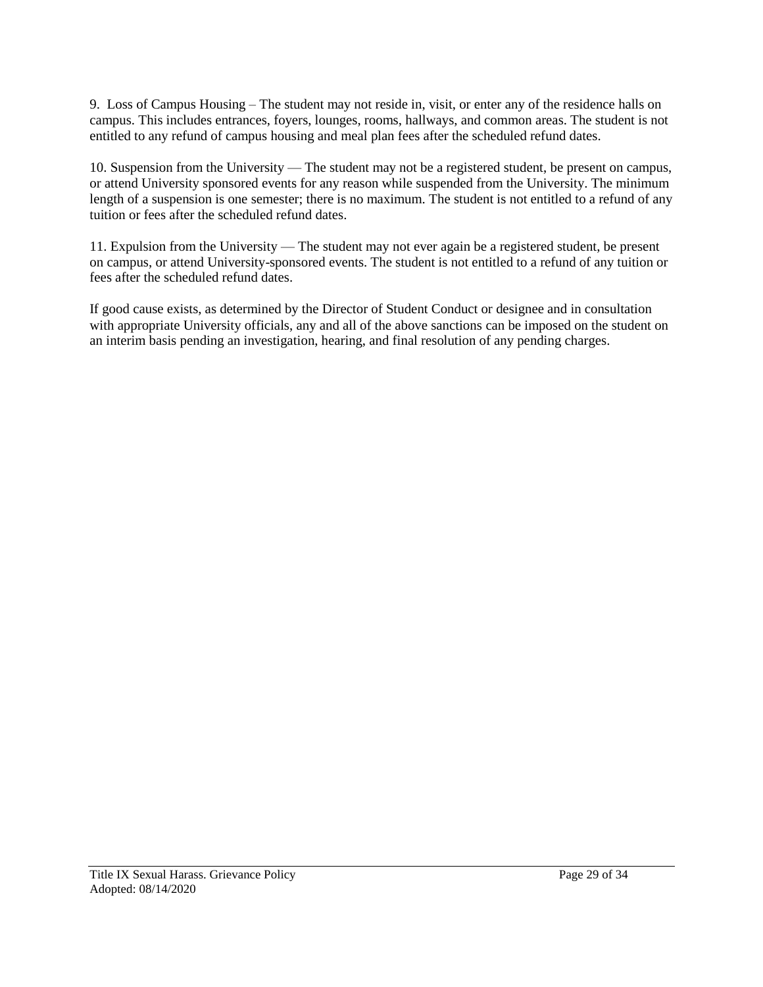9. Loss of Campus Housing – The student may not reside in, visit, or enter any of the residence halls on campus. This includes entrances, foyers, lounges, rooms, hallways, and common areas. The student is not entitled to any refund of campus housing and meal plan fees after the scheduled refund dates.

10. Suspension from the University — The student may not be a registered student, be present on campus, or attend University sponsored events for any reason while suspended from the University. The minimum length of a suspension is one semester; there is no maximum. The student is not entitled to a refund of any tuition or fees after the scheduled refund dates.

11. Expulsion from the University — The student may not ever again be a registered student, be present on campus, or attend University-sponsored events. The student is not entitled to a refund of any tuition or fees after the scheduled refund dates.

If good cause exists, as determined by the Director of Student Conduct or designee and in consultation with appropriate University officials, any and all of the above sanctions can be imposed on the student on an interim basis pending an investigation, hearing, and final resolution of any pending charges.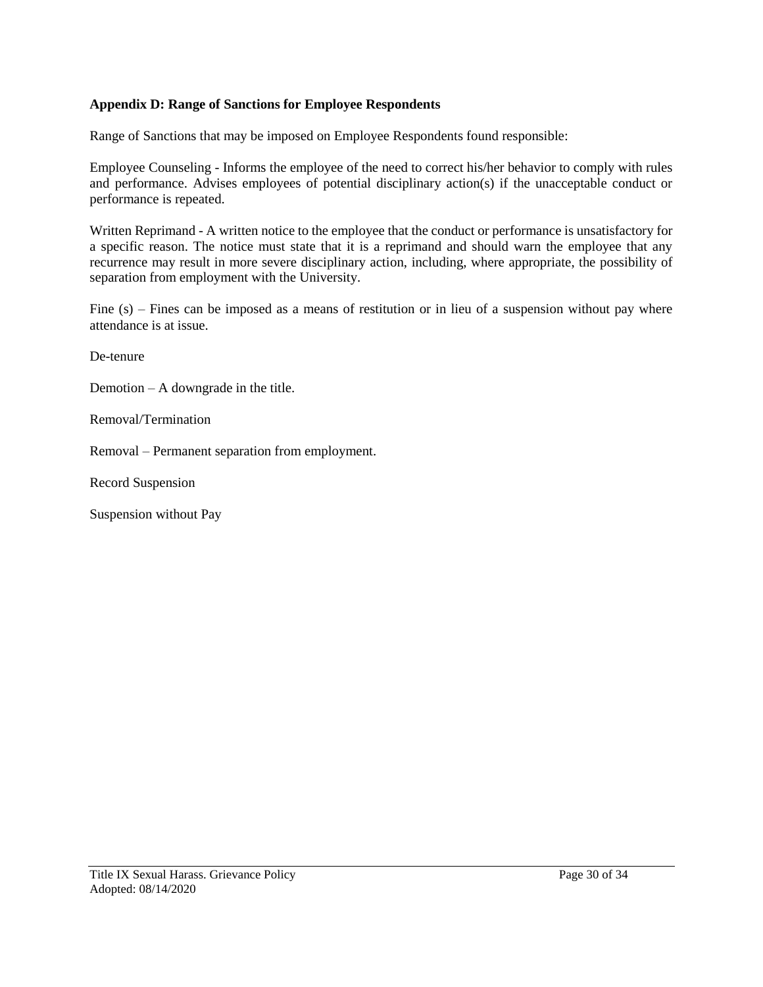# **Appendix D: Range of Sanctions for Employee Respondents**

Range of Sanctions that may be imposed on Employee Respondents found responsible:

Employee Counseling - Informs the employee of the need to correct his/her behavior to comply with rules and performance. Advises employees of potential disciplinary action(s) if the unacceptable conduct or performance is repeated.

Written Reprimand - A written notice to the employee that the conduct or performance is unsatisfactory for a specific reason. The notice must state that it is a reprimand and should warn the employee that any recurrence may result in more severe disciplinary action, including, where appropriate, the possibility of separation from employment with the University.

Fine (s) – Fines can be imposed as a means of restitution or in lieu of a suspension without pay where attendance is at issue.

De-tenure

Demotion – A downgrade in the title.

Removal/Termination

Removal – Permanent separation from employment.

Record Suspension

Suspension without Pay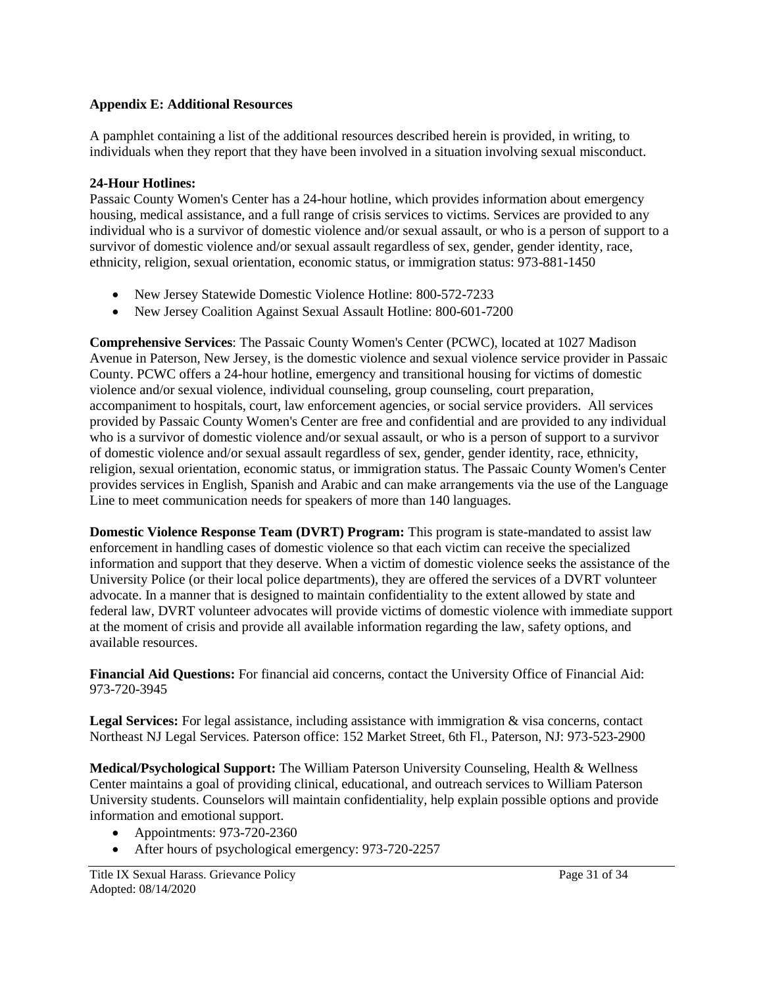### **Appendix E: Additional Resources**

A pamphlet containing a list of the additional resources described herein is provided, in writing, to individuals when they report that they have been involved in a situation involving sexual misconduct.

#### **24-Hour Hotlines:**

Passaic County Women's Center has a 24-hour hotline, which provides information about emergency housing, medical assistance, and a full range of crisis services to victims. Services are provided to any individual who is a survivor of domestic violence and/or sexual assault, or who is a person of support to a survivor of domestic violence and/or sexual assault regardless of sex, gender, gender identity, race, ethnicity, religion, sexual orientation, economic status, or immigration status: 973-881-1450

- New Jersey Statewide Domestic Violence Hotline: 800-572-7233
- New Jersey Coalition Against Sexual Assault Hotline: 800-601-7200

**Comprehensive Services**: The Passaic County Women's Center (PCWC), located at 1027 Madison Avenue in Paterson, New Jersey, is the domestic violence and sexual violence service provider in Passaic County. PCWC offers a 24-hour hotline, emergency and transitional housing for victims of domestic violence and/or sexual violence, individual counseling, group counseling, court preparation, accompaniment to hospitals, court, law enforcement agencies, or social service providers. All services provided by Passaic County Women's Center are free and confidential and are provided to any individual who is a survivor of domestic violence and/or sexual assault, or who is a person of support to a survivor of domestic violence and/or sexual assault regardless of sex, gender, gender identity, race, ethnicity, religion, sexual orientation, economic status, or immigration status. The Passaic County Women's Center provides services in English, Spanish and Arabic and can make arrangements via the use of the Language Line to meet communication needs for speakers of more than 140 languages.

**Domestic Violence Response Team (DVRT) Program:** This program is state-mandated to assist law enforcement in handling cases of domestic violence so that each victim can receive the specialized information and support that they deserve. When a victim of domestic violence seeks the assistance of the University Police (or their local police departments), they are offered the services of a DVRT volunteer advocate. In a manner that is designed to maintain confidentiality to the extent allowed by state and federal law, DVRT volunteer advocates will provide victims of domestic violence with immediate support at the moment of crisis and provide all available information regarding the law, safety options, and available resources.

**Financial Aid Questions:** For financial aid concerns, contact the University Office of Financial Aid: 973-720-3945

**Legal Services:** For legal assistance, including assistance with immigration & visa concerns, contact Northeast NJ Legal Services. Paterson office: 152 Market Street, 6th Fl., Paterson, NJ: 973-523-2900

**Medical/Psychological Support:** The William Paterson University Counseling, Health & Wellness Center maintains a goal of providing clinical, educational, and outreach services to William Paterson University students. Counselors will maintain confidentiality, help explain possible options and provide information and emotional support.

- Appointments: 973-720-2360
- After hours of psychological emergency: 973-720-2257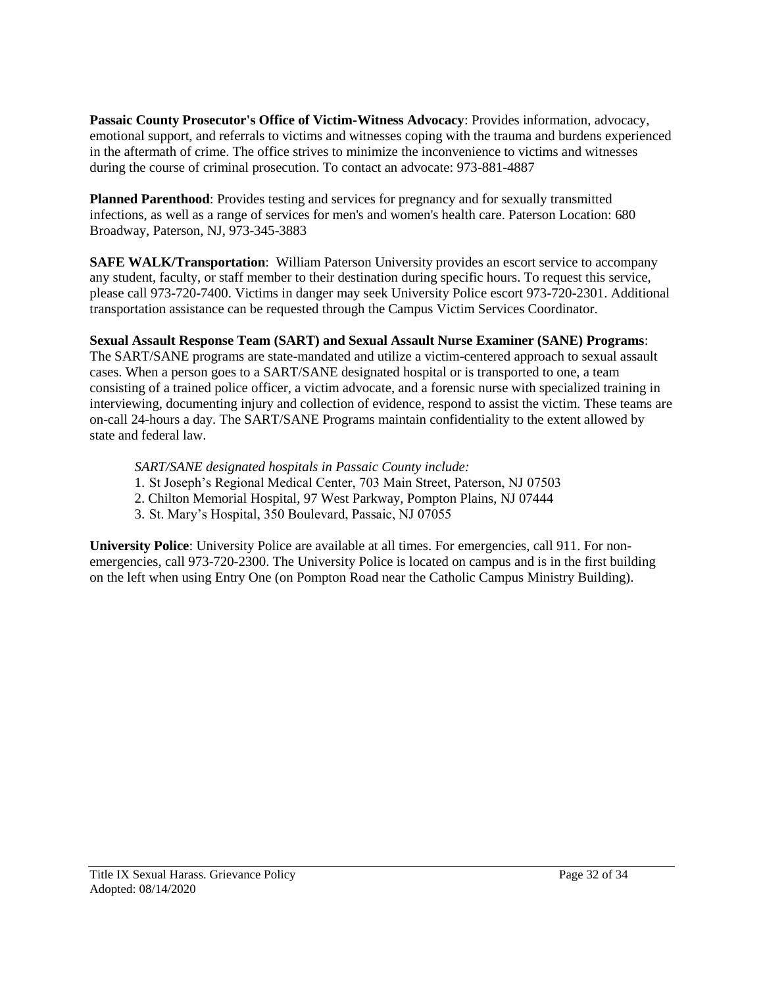**Passaic County Prosecutor's Office of Victim-Witness Advocacy**: Provides information, advocacy, emotional support, and referrals to victims and witnesses coping with the trauma and burdens experienced in the aftermath of crime. The office strives to minimize the inconvenience to victims and witnesses during the course of criminal prosecution. To contact an advocate: 973-881-4887

**Planned Parenthood**: Provides testing and services for pregnancy and for sexually transmitted infections, as well as a range of services for men's and women's health care. Paterson Location: 680 Broadway, Paterson, NJ, 973-345-3883

**SAFE WALK/Transportation**: William Paterson University provides an escort service to accompany any student, faculty, or staff member to their destination during specific hours. To request this service, please call 973-720-7400. Victims in danger may seek University Police escort 973-720-2301. Additional transportation assistance can be requested through the Campus Victim Services Coordinator.

# **Sexual Assault Response Team (SART) and Sexual Assault Nurse Examiner (SANE) Programs**:

The SART/SANE programs are state-mandated and utilize a victim-centered approach to sexual assault cases. When a person goes to a SART/SANE designated hospital or is transported to one, a team consisting of a trained police officer, a victim advocate, and a forensic nurse with specialized training in interviewing, documenting injury and collection of evidence, respond to assist the victim. These teams are on-call 24-hours a day. The SART/SANE Programs maintain confidentiality to the extent allowed by state and federal law.

# *SART/SANE designated hospitals in Passaic County include:*

- 1. St Joseph's Regional Medical Center, 703 Main Street, Paterson, NJ 07503
- 2. Chilton Memorial Hospital, 97 West Parkway, Pompton Plains, NJ 07444
- 3. St. Mary's Hospital, 350 Boulevard, Passaic, NJ 07055

**University Police**: University Police are available at all times. For emergencies, call 911. For nonemergencies, call 973-720-2300. The University Police is located on campus and is in the first building on the left when using Entry One (on Pompton Road near the Catholic Campus Ministry Building).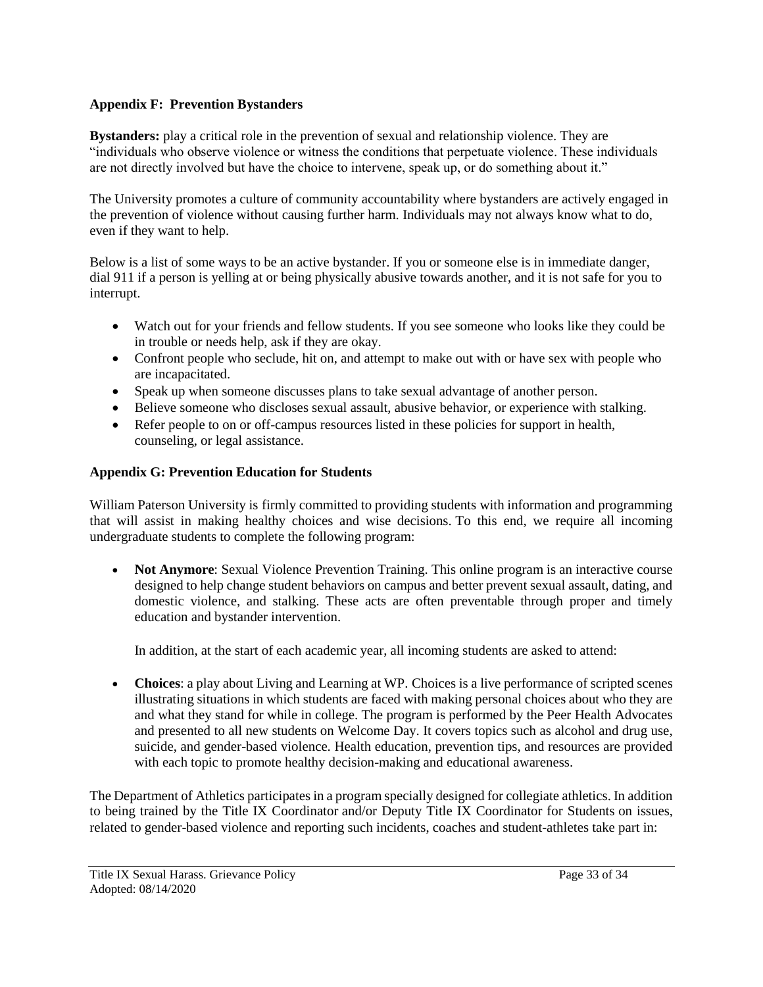## **Appendix F: Prevention Bystanders**

**Bystanders:** play a critical role in the prevention of sexual and relationship violence. They are "individuals who observe violence or witness the conditions that perpetuate violence. These individuals are not directly involved but have the choice to intervene, speak up, or do something about it."

The University promotes a culture of community accountability where bystanders are actively engaged in the prevention of violence without causing further harm. Individuals may not always know what to do, even if they want to help.

Below is a list of some ways to be an active bystander. If you or someone else is in immediate danger, dial 911 if a person is yelling at or being physically abusive towards another, and it is not safe for you to interrupt.

- Watch out for your friends and fellow students. If you see someone who looks like they could be in trouble or needs help, ask if they are okay.
- Confront people who seclude, hit on, and attempt to make out with or have sex with people who are incapacitated.
- Speak up when someone discusses plans to take sexual advantage of another person.
- Believe someone who discloses sexual assault, abusive behavior, or experience with stalking.
- Refer people to on or off-campus resources listed in these policies for support in health, counseling, or legal assistance.

# **Appendix G: Prevention Education for Students**

William Paterson University is firmly committed to providing students with information and programming that will assist in making healthy choices and wise decisions. To this end, we require all incoming undergraduate students to complete the following program:

 **Not Anymore**: Sexual Violence Prevention Training. This online program is an interactive course designed to help change student behaviors on campus and better prevent sexual assault, dating, and domestic violence, and stalking. These acts are often preventable through proper and timely education and bystander intervention.

In addition, at the start of each academic year, all incoming students are asked to attend:

 **Choices**: a play about Living and Learning at WP. Choices is a live performance of scripted scenes illustrating situations in which students are faced with making personal choices about who they are and what they stand for while in college. The program is performed by the Peer Health Advocates and presented to all new students on Welcome Day. It covers topics such as alcohol and drug use, suicide, and gender-based violence. Health education, prevention tips, and resources are provided with each topic to promote healthy decision-making and educational awareness.

The Department of Athletics participates in a program specially designed for collegiate athletics. In addition to being trained by the Title IX Coordinator and/or Deputy Title IX Coordinator for Students on issues, related to gender-based violence and reporting such incidents, coaches and student-athletes take part in: